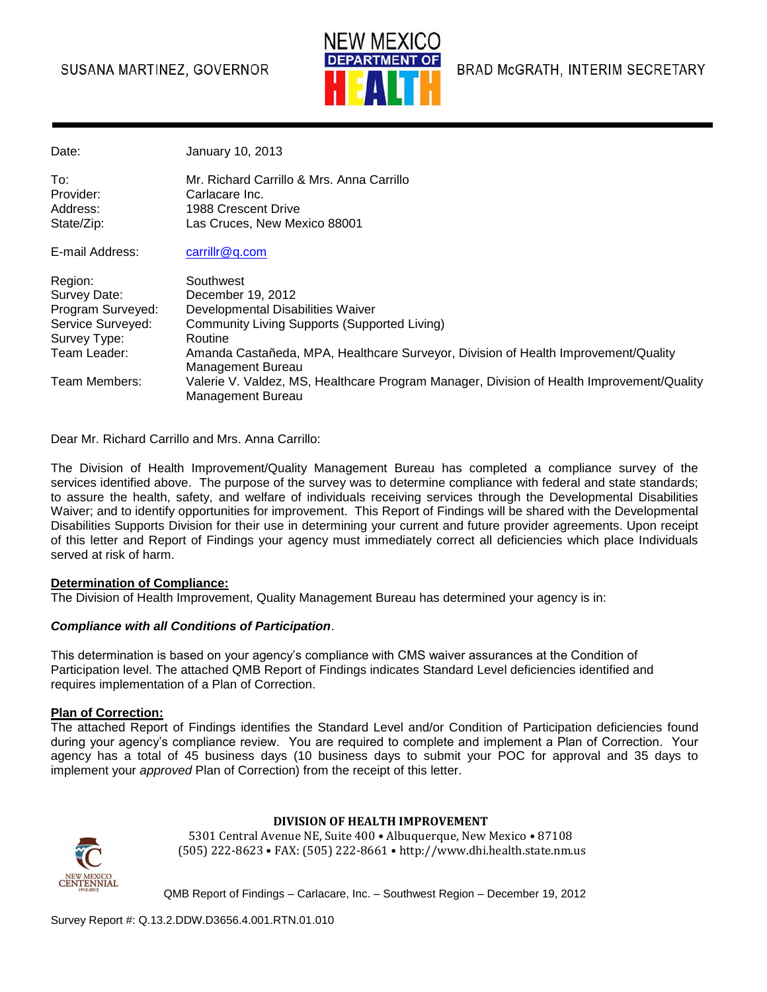# SUSANA MARTINEZ, GOVERNOR



BRAD McGRATH, INTERIM SECRETARY

| January 10, 2013 |
|------------------|
|                  |

| To∶        | Mr. Richard Carrillo & Mrs. Anna Carrillo |
|------------|-------------------------------------------|
| Provider:  | Carlacare Inc.                            |
| Address:   | 1988 Crescent Drive                       |
| State/Zip: | Las Cruces. New Mexico 88001              |
|            |                                           |

E-mail Address: [carrillr@q.com](mailto:carrillr@q.com)

| Region:           | Southwest                                                                                 |
|-------------------|-------------------------------------------------------------------------------------------|
| Survey Date:      | December 19, 2012                                                                         |
| Program Surveyed: | Developmental Disabilities Waiver                                                         |
| Service Surveyed: | Community Living Supports (Supported Living)                                              |
| Survey Type:      | Routine                                                                                   |
| Team Leader:      | Amanda Castañeda, MPA, Healthcare Surveyor, Division of Health Improvement/Quality        |
|                   | Management Bureau                                                                         |
| Team Members:     | Valerie V. Valdez, MS, Healthcare Program Manager, Division of Health Improvement/Quality |
|                   | Management Bureau                                                                         |

Dear Mr. Richard Carrillo and Mrs. Anna Carrillo:

The Division of Health Improvement/Quality Management Bureau has completed a compliance survey of the services identified above. The purpose of the survey was to determine compliance with federal and state standards; to assure the health, safety, and welfare of individuals receiving services through the Developmental Disabilities Waiver; and to identify opportunities for improvement. This Report of Findings will be shared with the Developmental Disabilities Supports Division for their use in determining your current and future provider agreements. Upon receipt of this letter and Report of Findings your agency must immediately correct all deficiencies which place Individuals served at risk of harm.

#### **Determination of Compliance:**

The Division of Health Improvement, Quality Management Bureau has determined your agency is in:

#### *Compliance with all Conditions of Participation*.

This determination is based on your agency's compliance with CMS waiver assurances at the Condition of Participation level. The attached QMB Report of Findings indicates Standard Level deficiencies identified and requires implementation of a Plan of Correction.

#### **Plan of Correction:**

The attached Report of Findings identifies the Standard Level and/or Condition of Participation deficiencies found during your agency's compliance review. You are required to complete and implement a Plan of Correction. Your agency has a total of 45 business days (10 business days to submit your POC for approval and 35 days to implement your *approved* Plan of Correction) from the receipt of this letter.



**DIVISION OF HEALTH IMPROVEMENT**

5301 Central Avenue NE, Suite 400 • Albuquerque, New Mexico • 87108 (505) 222-8623 • FAX: (505) 222-8661 • http://www.dhi.health.state.nm.us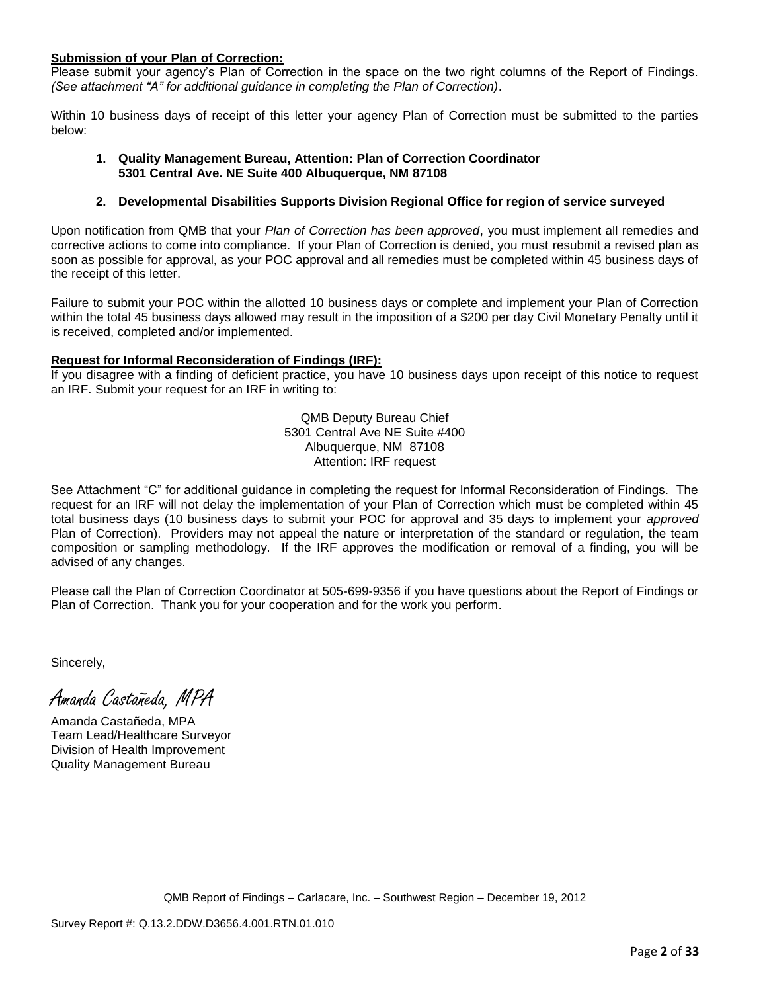#### **Submission of your Plan of Correction:**

Please submit your agency's Plan of Correction in the space on the two right columns of the Report of Findings. *(See attachment "A" for additional guidance in completing the Plan of Correction)*.

Within 10 business days of receipt of this letter your agency Plan of Correction must be submitted to the parties below:

#### **1. Quality Management Bureau, Attention: Plan of Correction Coordinator 5301 Central Ave. NE Suite 400 Albuquerque, NM 87108**

#### **2. Developmental Disabilities Supports Division Regional Office for region of service surveyed**

Upon notification from QMB that your *Plan of Correction has been approved*, you must implement all remedies and corrective actions to come into compliance. If your Plan of Correction is denied, you must resubmit a revised plan as soon as possible for approval, as your POC approval and all remedies must be completed within 45 business days of the receipt of this letter.

Failure to submit your POC within the allotted 10 business days or complete and implement your Plan of Correction within the total 45 business days allowed may result in the imposition of a \$200 per day Civil Monetary Penalty until it is received, completed and/or implemented.

#### **Request for Informal Reconsideration of Findings (IRF):**

If you disagree with a finding of deficient practice, you have 10 business days upon receipt of this notice to request an IRF. Submit your request for an IRF in writing to:

> QMB Deputy Bureau Chief 5301 Central Ave NE Suite #400 Albuquerque, NM 87108 Attention: IRF request

See Attachment "C" for additional guidance in completing the request for Informal Reconsideration of Findings. The request for an IRF will not delay the implementation of your Plan of Correction which must be completed within 45 total business days (10 business days to submit your POC for approval and 35 days to implement your *approved* Plan of Correction). Providers may not appeal the nature or interpretation of the standard or regulation, the team composition or sampling methodology. If the IRF approves the modification or removal of a finding, you will be advised of any changes.

Please call the Plan of Correction Coordinator at 505-699-9356 if you have questions about the Report of Findings or Plan of Correction. Thank you for your cooperation and for the work you perform.

Sincerely,

Amanda Castañeda, MPA

Amanda Castañeda, MPA Team Lead/Healthcare Surveyor Division of Health Improvement Quality Management Bureau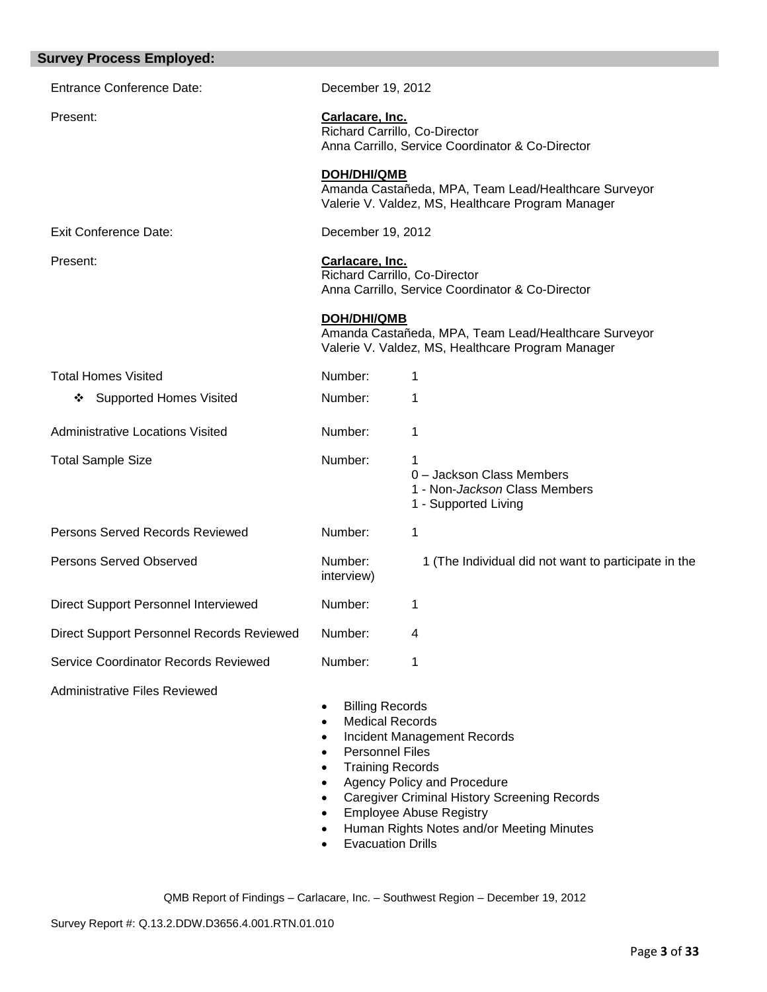| <b>Survey Process Employed:</b>           |                                                                                                                                                                                                                      |                                                                                                                                                                                                  |
|-------------------------------------------|----------------------------------------------------------------------------------------------------------------------------------------------------------------------------------------------------------------------|--------------------------------------------------------------------------------------------------------------------------------------------------------------------------------------------------|
| <b>Entrance Conference Date:</b>          | December 19, 2012                                                                                                                                                                                                    |                                                                                                                                                                                                  |
| Present:                                  | Carlacare, Inc.                                                                                                                                                                                                      | Richard Carrillo, Co-Director<br>Anna Carrillo, Service Coordinator & Co-Director                                                                                                                |
|                                           | <b>DOH/DHI/QMB</b>                                                                                                                                                                                                   | Amanda Castañeda, MPA, Team Lead/Healthcare Surveyor<br>Valerie V. Valdez, MS, Healthcare Program Manager                                                                                        |
| <b>Exit Conference Date:</b>              | December 19, 2012                                                                                                                                                                                                    |                                                                                                                                                                                                  |
| Present:                                  | Carlacare, Inc.                                                                                                                                                                                                      | Richard Carrillo, Co-Director<br>Anna Carrillo, Service Coordinator & Co-Director                                                                                                                |
|                                           | <b>DOH/DHI/QMB</b>                                                                                                                                                                                                   | Amanda Castañeda, MPA, Team Lead/Healthcare Surveyor<br>Valerie V. Valdez, MS, Healthcare Program Manager                                                                                        |
| <b>Total Homes Visited</b>                | Number:                                                                                                                                                                                                              | 1                                                                                                                                                                                                |
| <b>Supported Homes Visited</b><br>❖       | Number:                                                                                                                                                                                                              | 1                                                                                                                                                                                                |
| <b>Administrative Locations Visited</b>   | Number:                                                                                                                                                                                                              | 1                                                                                                                                                                                                |
| <b>Total Sample Size</b>                  | Number:                                                                                                                                                                                                              | 1<br>0 - Jackson Class Members<br>1 - Non-Jackson Class Members<br>1 - Supported Living                                                                                                          |
| Persons Served Records Reviewed           | Number:                                                                                                                                                                                                              | 1                                                                                                                                                                                                |
| Persons Served Observed                   | Number:<br>interview)                                                                                                                                                                                                | 1 (The Individual did not want to participate in the                                                                                                                                             |
| Direct Support Personnel Interviewed      | Number:                                                                                                                                                                                                              | 1                                                                                                                                                                                                |
| Direct Support Personnel Records Reviewed | Number:                                                                                                                                                                                                              | 4                                                                                                                                                                                                |
| Service Coordinator Records Reviewed      | Number:                                                                                                                                                                                                              | 1                                                                                                                                                                                                |
| <b>Administrative Files Reviewed</b>      | <b>Billing Records</b><br>٠<br><b>Medical Records</b><br>$\bullet$<br><b>Personnel Files</b><br>$\bullet$<br><b>Training Records</b><br>$\bullet$<br>$\bullet$<br>$\bullet$<br>$\bullet$<br><b>Evacuation Drills</b> | Incident Management Records<br>Agency Policy and Procedure<br><b>Caregiver Criminal History Screening Records</b><br><b>Employee Abuse Registry</b><br>Human Rights Notes and/or Meeting Minutes |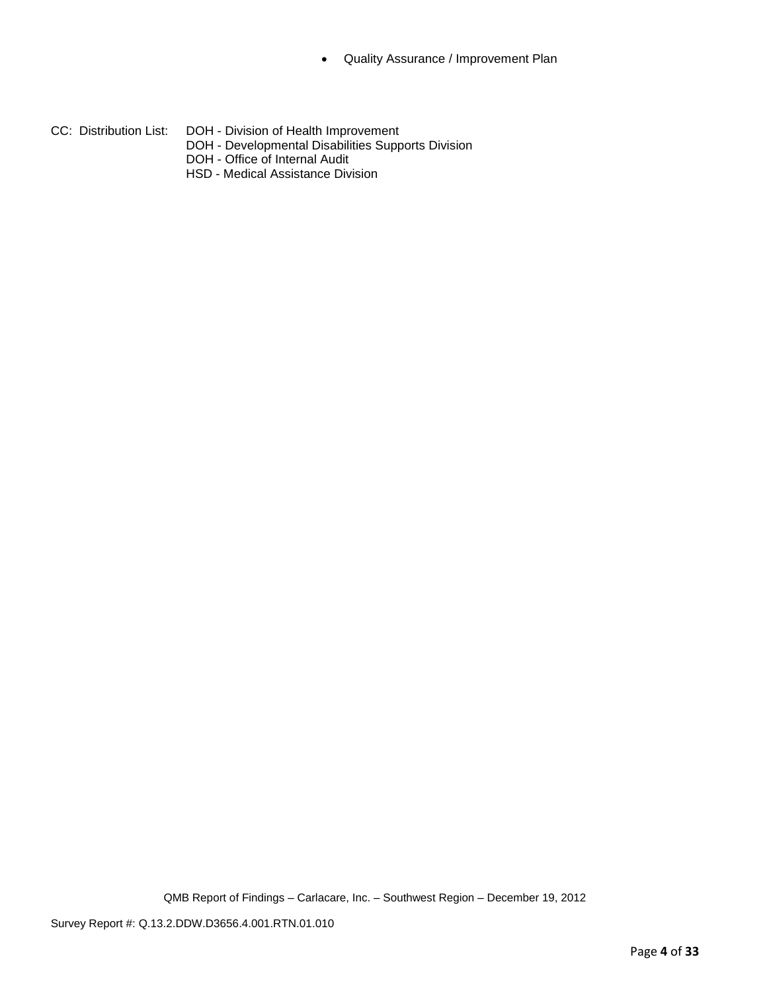- CC: Distribution List: DOH Division of Health Improvement
	- DOH Developmental Disabilities Supports Division
	- DOH Office of Internal Audit
	- HSD Medical Assistance Division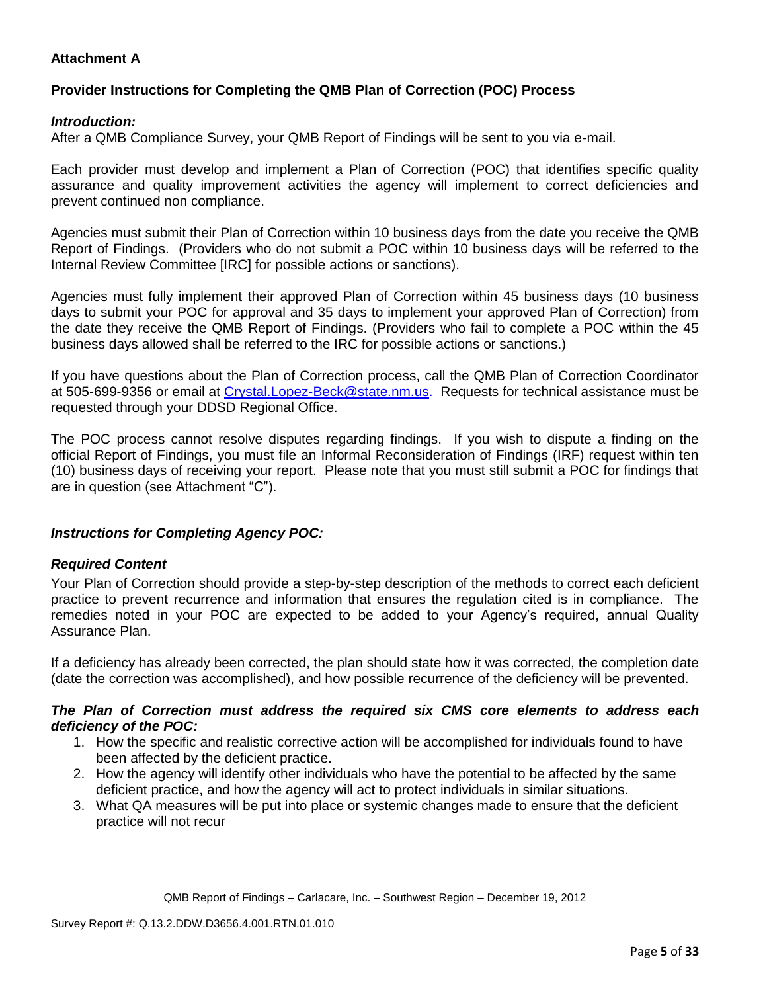## **Attachment A**

## **Provider Instructions for Completing the QMB Plan of Correction (POC) Process**

## *Introduction:*

After a QMB Compliance Survey, your QMB Report of Findings will be sent to you via e-mail.

Each provider must develop and implement a Plan of Correction (POC) that identifies specific quality assurance and quality improvement activities the agency will implement to correct deficiencies and prevent continued non compliance.

Agencies must submit their Plan of Correction within 10 business days from the date you receive the QMB Report of Findings. (Providers who do not submit a POC within 10 business days will be referred to the Internal Review Committee [IRC] for possible actions or sanctions).

Agencies must fully implement their approved Plan of Correction within 45 business days (10 business days to submit your POC for approval and 35 days to implement your approved Plan of Correction) from the date they receive the QMB Report of Findings. (Providers who fail to complete a POC within the 45 business days allowed shall be referred to the IRC for possible actions or sanctions.)

If you have questions about the Plan of Correction process, call the QMB Plan of Correction Coordinator at 505-699-9356 or email at Crystal.Lopez-Beck@state.nm.us. Requests for technical assistance must be requested through your DDSD Regional Office.

The POC process cannot resolve disputes regarding findings. If you wish to dispute a finding on the official Report of Findings, you must file an Informal Reconsideration of Findings (IRF) request within ten (10) business days of receiving your report. Please note that you must still submit a POC for findings that are in question (see Attachment "C").

## *Instructions for Completing Agency POC:*

## *Required Content*

Your Plan of Correction should provide a step-by-step description of the methods to correct each deficient practice to prevent recurrence and information that ensures the regulation cited is in compliance. The remedies noted in your POC are expected to be added to your Agency's required, annual Quality Assurance Plan.

If a deficiency has already been corrected, the plan should state how it was corrected, the completion date (date the correction was accomplished), and how possible recurrence of the deficiency will be prevented.

### *The Plan of Correction must address the required six CMS core elements to address each deficiency of the POC:*

- 1. How the specific and realistic corrective action will be accomplished for individuals found to have been affected by the deficient practice.
- 2. How the agency will identify other individuals who have the potential to be affected by the same deficient practice, and how the agency will act to protect individuals in similar situations.
- 3. What QA measures will be put into place or systemic changes made to ensure that the deficient practice will not recur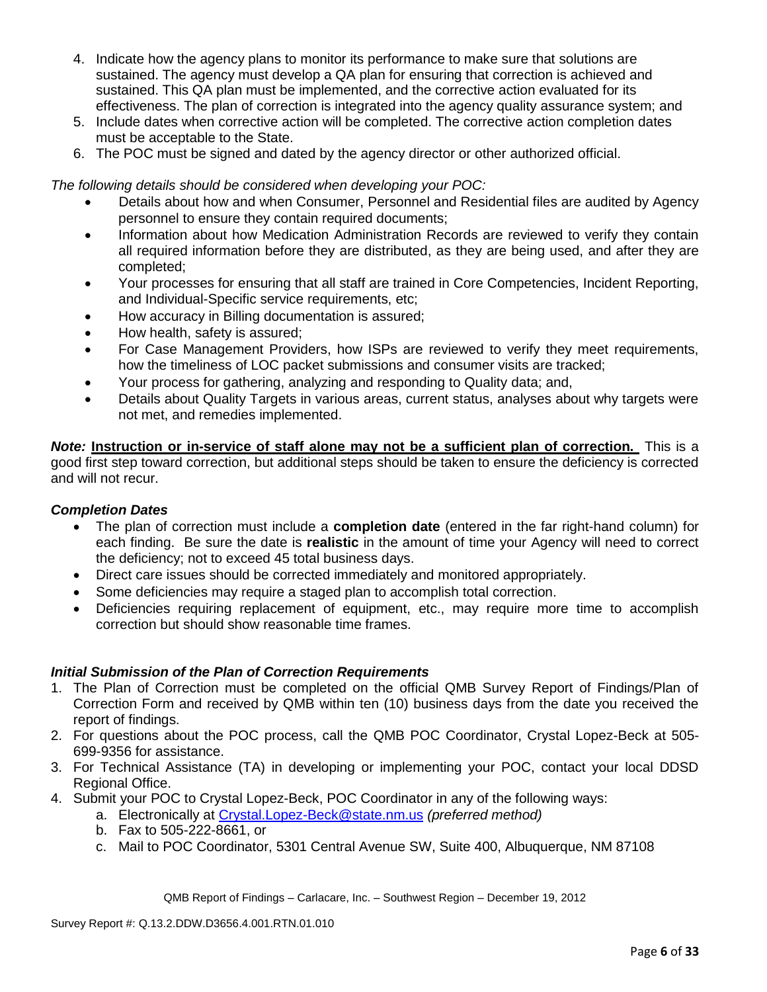- 4. Indicate how the agency plans to monitor its performance to make sure that solutions are sustained. The agency must develop a QA plan for ensuring that correction is achieved and sustained. This QA plan must be implemented, and the corrective action evaluated for its effectiveness. The plan of correction is integrated into the agency quality assurance system; and
- 5. Include dates when corrective action will be completed. The corrective action completion dates must be acceptable to the State.
- 6. The POC must be signed and dated by the agency director or other authorized official.

*The following details should be considered when developing your POC:*

- Details about how and when Consumer, Personnel and Residential files are audited by Agency personnel to ensure they contain required documents;
- Information about how Medication Administration Records are reviewed to verify they contain all required information before they are distributed, as they are being used, and after they are completed;
- Your processes for ensuring that all staff are trained in Core Competencies, Incident Reporting, and Individual-Specific service requirements, etc;
- How accuracy in Billing documentation is assured;
- How health, safety is assured;
- For Case Management Providers, how ISPs are reviewed to verify they meet requirements, how the timeliness of LOC packet submissions and consumer visits are tracked;
- Your process for gathering, analyzing and responding to Quality data; and,
- Details about Quality Targets in various areas, current status, analyses about why targets were not met, and remedies implemented.

*Note:* **Instruction or in-service of staff alone may not be a sufficient plan of correction.** This is a good first step toward correction, but additional steps should be taken to ensure the deficiency is corrected and will not recur.

## *Completion Dates*

- The plan of correction must include a **completion date** (entered in the far right-hand column) for each finding. Be sure the date is **realistic** in the amount of time your Agency will need to correct the deficiency; not to exceed 45 total business days.
- Direct care issues should be corrected immediately and monitored appropriately.
- Some deficiencies may require a staged plan to accomplish total correction.
- Deficiencies requiring replacement of equipment, etc., may require more time to accomplish correction but should show reasonable time frames.

## *Initial Submission of the Plan of Correction Requirements*

- 1. The Plan of Correction must be completed on the official QMB Survey Report of Findings/Plan of Correction Form and received by QMB within ten (10) business days from the date you received the report of findings.
- 2. For questions about the POC process, call the QMB POC Coordinator, Crystal Lopez-Beck at 505- 699-9356 for assistance.
- 3. For Technical Assistance (TA) in developing or implementing your POC, contact your local DDSD Regional Office.
- 4. Submit your POC to Crystal Lopez-Beck, POC Coordinator in any of the following ways:
	- a. Electronically at Crystal.Lopez-Beck@state.nm.us *(preferred method)*
	- b. Fax to 505-222-8661, or
	- c. Mail to POC Coordinator, 5301 Central Avenue SW, Suite 400, Albuquerque, NM 87108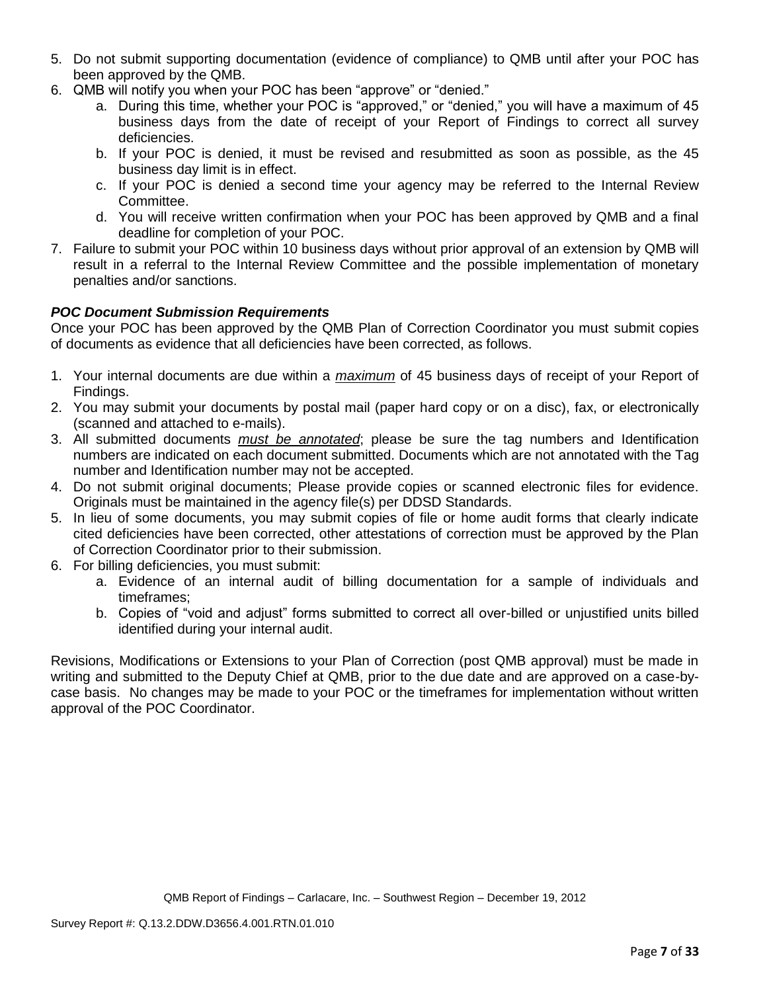- 5. Do not submit supporting documentation (evidence of compliance) to QMB until after your POC has been approved by the QMB.
- 6. QMB will notify you when your POC has been "approve" or "denied."
	- a. During this time, whether your POC is "approved," or "denied," you will have a maximum of 45 business days from the date of receipt of your Report of Findings to correct all survey deficiencies.
	- b. If your POC is denied, it must be revised and resubmitted as soon as possible, as the 45 business day limit is in effect.
	- c. If your POC is denied a second time your agency may be referred to the Internal Review Committee.
	- d. You will receive written confirmation when your POC has been approved by QMB and a final deadline for completion of your POC.
- 7. Failure to submit your POC within 10 business days without prior approval of an extension by QMB will result in a referral to the Internal Review Committee and the possible implementation of monetary penalties and/or sanctions.

# *POC Document Submission Requirements*

Once your POC has been approved by the QMB Plan of Correction Coordinator you must submit copies of documents as evidence that all deficiencies have been corrected, as follows.

- 1. Your internal documents are due within a *maximum* of 45 business days of receipt of your Report of Findings.
- 2. You may submit your documents by postal mail (paper hard copy or on a disc), fax, or electronically (scanned and attached to e-mails).
- 3. All submitted documents *must be annotated*; please be sure the tag numbers and Identification numbers are indicated on each document submitted. Documents which are not annotated with the Tag number and Identification number may not be accepted.
- 4. Do not submit original documents; Please provide copies or scanned electronic files for evidence. Originals must be maintained in the agency file(s) per DDSD Standards.
- 5. In lieu of some documents, you may submit copies of file or home audit forms that clearly indicate cited deficiencies have been corrected, other attestations of correction must be approved by the Plan of Correction Coordinator prior to their submission.
- 6. For billing deficiencies, you must submit:
	- a. Evidence of an internal audit of billing documentation for a sample of individuals and timeframes;
	- b. Copies of "void and adjust" forms submitted to correct all over-billed or unjustified units billed identified during your internal audit.

Revisions, Modifications or Extensions to your Plan of Correction (post QMB approval) must be made in writing and submitted to the Deputy Chief at QMB, prior to the due date and are approved on a case-bycase basis. No changes may be made to your POC or the timeframes for implementation without written approval of the POC Coordinator.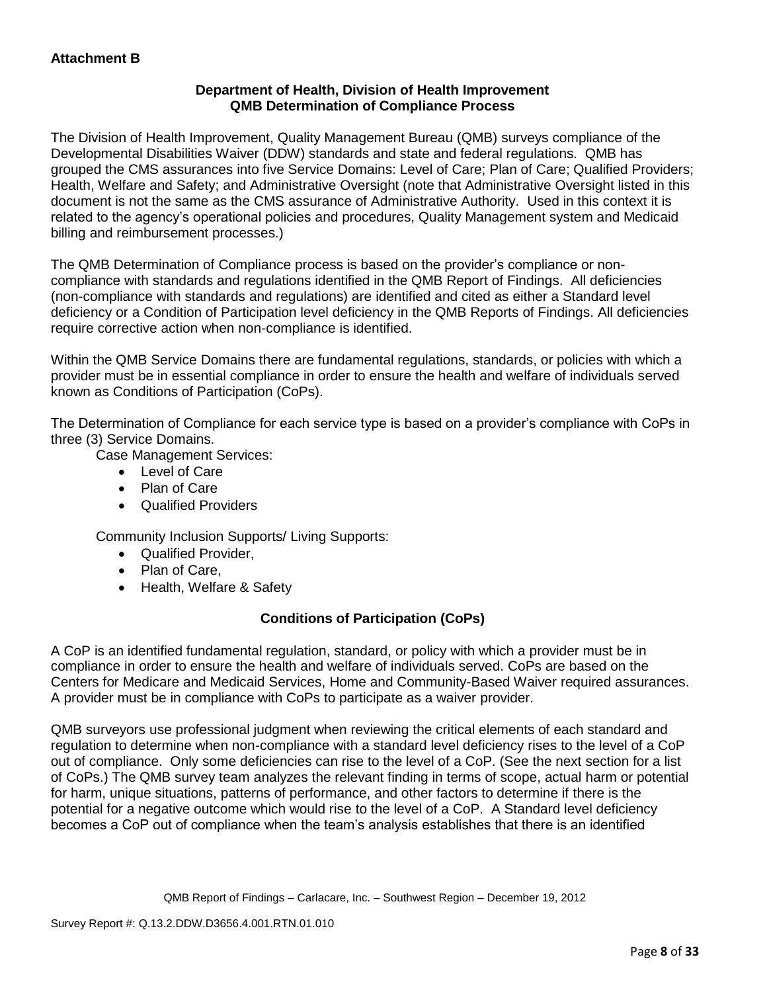## **Department of Health, Division of Health Improvement QMB Determination of Compliance Process**

The Division of Health Improvement, Quality Management Bureau (QMB) surveys compliance of the Developmental Disabilities Waiver (DDW) standards and state and federal regulations. QMB has grouped the CMS assurances into five Service Domains: Level of Care; Plan of Care; Qualified Providers; Health, Welfare and Safety; and Administrative Oversight (note that Administrative Oversight listed in this document is not the same as the CMS assurance of Administrative Authority. Used in this context it is related to the agency's operational policies and procedures, Quality Management system and Medicaid billing and reimbursement processes.)

The QMB Determination of Compliance process is based on the provider's compliance or noncompliance with standards and regulations identified in the QMB Report of Findings. All deficiencies (non-compliance with standards and regulations) are identified and cited as either a Standard level deficiency or a Condition of Participation level deficiency in the QMB Reports of Findings. All deficiencies require corrective action when non-compliance is identified.

Within the QMB Service Domains there are fundamental regulations, standards, or policies with which a provider must be in essential compliance in order to ensure the health and welfare of individuals served known as Conditions of Participation (CoPs).

The Determination of Compliance for each service type is based on a provider's compliance with CoPs in three (3) Service Domains.

Case Management Services:

- Level of Care
- Plan of Care
- Qualified Providers

Community Inclusion Supports/ Living Supports:

- Qualified Provider,
- Plan of Care,
- Health, Welfare & Safety

# **Conditions of Participation (CoPs)**

A CoP is an identified fundamental regulation, standard, or policy with which a provider must be in compliance in order to ensure the health and welfare of individuals served. CoPs are based on the Centers for Medicare and Medicaid Services, Home and Community-Based Waiver required assurances. A provider must be in compliance with CoPs to participate as a waiver provider.

QMB surveyors use professional judgment when reviewing the critical elements of each standard and regulation to determine when non-compliance with a standard level deficiency rises to the level of a CoP out of compliance. Only some deficiencies can rise to the level of a CoP. (See the next section for a list of CoPs.) The QMB survey team analyzes the relevant finding in terms of scope, actual harm or potential for harm, unique situations, patterns of performance, and other factors to determine if there is the potential for a negative outcome which would rise to the level of a CoP. A Standard level deficiency becomes a CoP out of compliance when the team's analysis establishes that there is an identified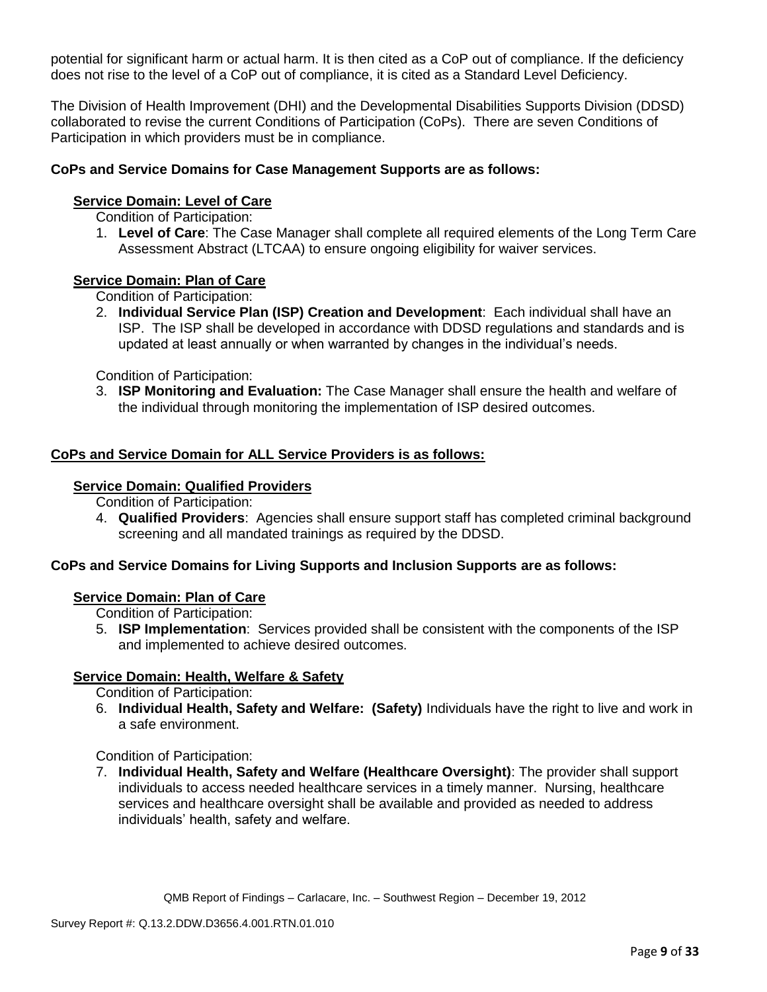potential for significant harm or actual harm. It is then cited as a CoP out of compliance. If the deficiency does not rise to the level of a CoP out of compliance, it is cited as a Standard Level Deficiency.

The Division of Health Improvement (DHI) and the Developmental Disabilities Supports Division (DDSD) collaborated to revise the current Conditions of Participation (CoPs). There are seven Conditions of Participation in which providers must be in compliance.

## **CoPs and Service Domains for Case Management Supports are as follows:**

### **Service Domain: Level of Care**

Condition of Participation:

1. **Level of Care**: The Case Manager shall complete all required elements of the Long Term Care Assessment Abstract (LTCAA) to ensure ongoing eligibility for waiver services.

### **Service Domain: Plan of Care**

Condition of Participation:

2. **Individual Service Plan (ISP) Creation and Development**: Each individual shall have an ISP. The ISP shall be developed in accordance with DDSD regulations and standards and is updated at least annually or when warranted by changes in the individual's needs.

Condition of Participation:

3. **ISP Monitoring and Evaluation:** The Case Manager shall ensure the health and welfare of the individual through monitoring the implementation of ISP desired outcomes.

### **CoPs and Service Domain for ALL Service Providers is as follows:**

#### **Service Domain: Qualified Providers**

Condition of Participation:

4. **Qualified Providers**: Agencies shall ensure support staff has completed criminal background screening and all mandated trainings as required by the DDSD.

## **CoPs and Service Domains for Living Supports and Inclusion Supports are as follows:**

### **Service Domain: Plan of Care**

Condition of Participation:

5. **ISP Implementation**: Services provided shall be consistent with the components of the ISP and implemented to achieve desired outcomes.

### **Service Domain: Health, Welfare & Safety**

Condition of Participation:

6. **Individual Health, Safety and Welfare: (Safety)** Individuals have the right to live and work in a safe environment.

Condition of Participation:

7. **Individual Health, Safety and Welfare (Healthcare Oversight)**: The provider shall support individuals to access needed healthcare services in a timely manner. Nursing, healthcare services and healthcare oversight shall be available and provided as needed to address individuals' health, safety and welfare.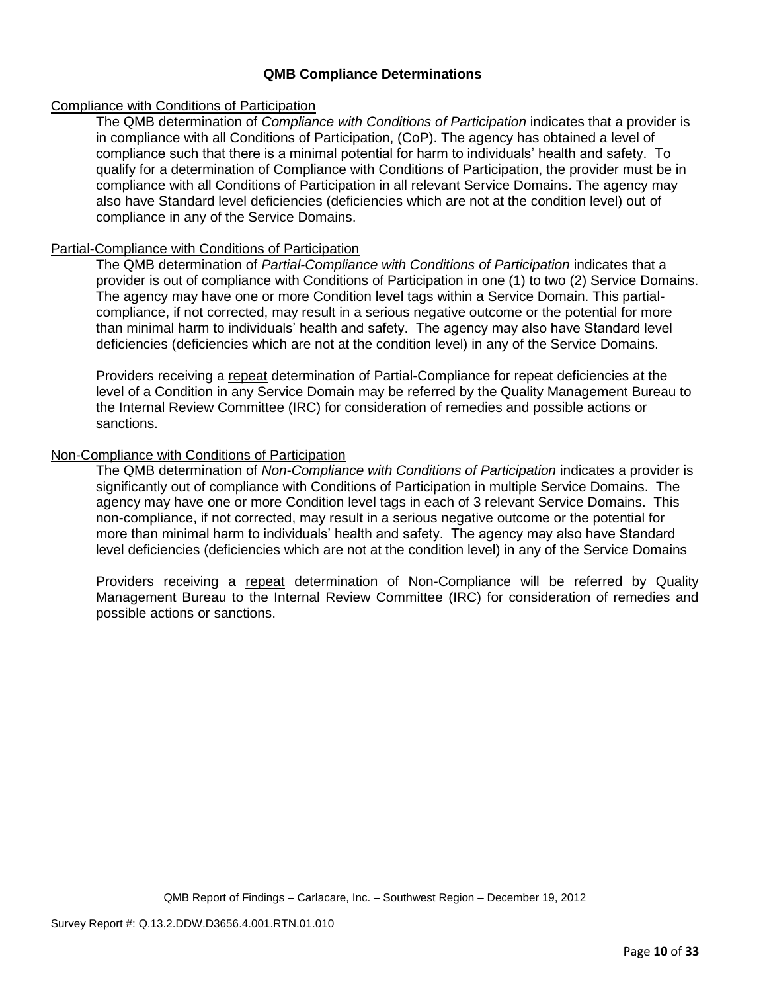## **QMB Compliance Determinations**

### Compliance with Conditions of Participation

The QMB determination of *Compliance with Conditions of Participation* indicates that a provider is in compliance with all Conditions of Participation, (CoP). The agency has obtained a level of compliance such that there is a minimal potential for harm to individuals' health and safety. To qualify for a determination of Compliance with Conditions of Participation, the provider must be in compliance with all Conditions of Participation in all relevant Service Domains. The agency may also have Standard level deficiencies (deficiencies which are not at the condition level) out of compliance in any of the Service Domains.

### Partial-Compliance with Conditions of Participation

The QMB determination of *Partial-Compliance with Conditions of Participation* indicates that a provider is out of compliance with Conditions of Participation in one (1) to two (2) Service Domains. The agency may have one or more Condition level tags within a Service Domain. This partialcompliance, if not corrected, may result in a serious negative outcome or the potential for more than minimal harm to individuals' health and safety. The agency may also have Standard level deficiencies (deficiencies which are not at the condition level) in any of the Service Domains.

Providers receiving a repeat determination of Partial-Compliance for repeat deficiencies at the level of a Condition in any Service Domain may be referred by the Quality Management Bureau to the Internal Review Committee (IRC) for consideration of remedies and possible actions or sanctions.

## Non-Compliance with Conditions of Participation

The QMB determination of *Non-Compliance with Conditions of Participation* indicates a provider is significantly out of compliance with Conditions of Participation in multiple Service Domains. The agency may have one or more Condition level tags in each of 3 relevant Service Domains. This non-compliance, if not corrected, may result in a serious negative outcome or the potential for more than minimal harm to individuals' health and safety. The agency may also have Standard level deficiencies (deficiencies which are not at the condition level) in any of the Service Domains

Providers receiving a repeat determination of Non-Compliance will be referred by Quality Management Bureau to the Internal Review Committee (IRC) for consideration of remedies and possible actions or sanctions.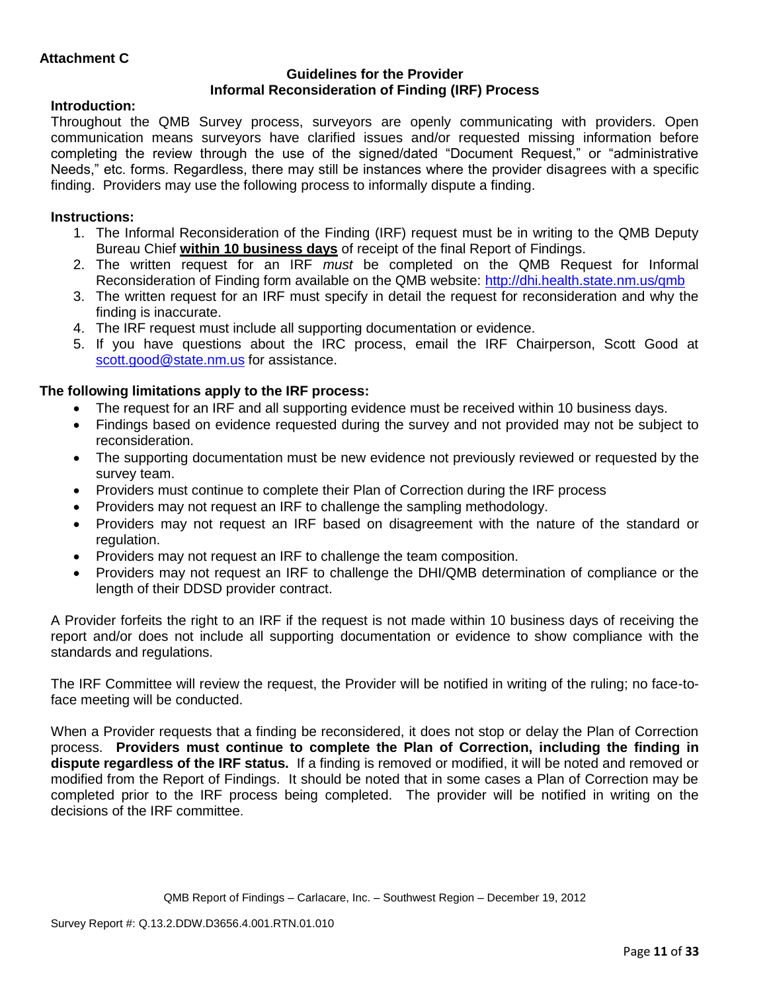## **Guidelines for the Provider Informal Reconsideration of Finding (IRF) Process**

## **Introduction:**

Throughout the QMB Survey process, surveyors are openly communicating with providers. Open communication means surveyors have clarified issues and/or requested missing information before completing the review through the use of the signed/dated "Document Request," or "administrative Needs," etc. forms. Regardless, there may still be instances where the provider disagrees with a specific finding. Providers may use the following process to informally dispute a finding.

# **Instructions:**

- 1. The Informal Reconsideration of the Finding (IRF) request must be in writing to the QMB Deputy Bureau Chief **within 10 business days** of receipt of the final Report of Findings.
- 2. The written request for an IRF *must* be completed on the QMB Request for Informal Reconsideration of Finding form available on the QMB website:<http://dhi.health.state.nm.us/qmb>
- 3. The written request for an IRF must specify in detail the request for reconsideration and why the finding is inaccurate.
- 4. The IRF request must include all supporting documentation or evidence.
- 5. If you have questions about the IRC process, email the IRF Chairperson, Scott Good at [scott.good@state.nm.us](mailto:scott.good@state.nm.us) for assistance.

# **The following limitations apply to the IRF process:**

- The request for an IRF and all supporting evidence must be received within 10 business days.
- Findings based on evidence requested during the survey and not provided may not be subject to reconsideration.
- The supporting documentation must be new evidence not previously reviewed or requested by the survey team.
- Providers must continue to complete their Plan of Correction during the IRF process
- Providers may not request an IRF to challenge the sampling methodology.
- Providers may not request an IRF based on disagreement with the nature of the standard or regulation.
- Providers may not request an IRF to challenge the team composition.
- Providers may not request an IRF to challenge the DHI/QMB determination of compliance or the length of their DDSD provider contract.

A Provider forfeits the right to an IRF if the request is not made within 10 business days of receiving the report and/or does not include all supporting documentation or evidence to show compliance with the standards and regulations.

The IRF Committee will review the request, the Provider will be notified in writing of the ruling; no face-toface meeting will be conducted.

When a Provider requests that a finding be reconsidered, it does not stop or delay the Plan of Correction process. **Providers must continue to complete the Plan of Correction, including the finding in dispute regardless of the IRF status.** If a finding is removed or modified, it will be noted and removed or modified from the Report of Findings. It should be noted that in some cases a Plan of Correction may be completed prior to the IRF process being completed. The provider will be notified in writing on the decisions of the IRF committee.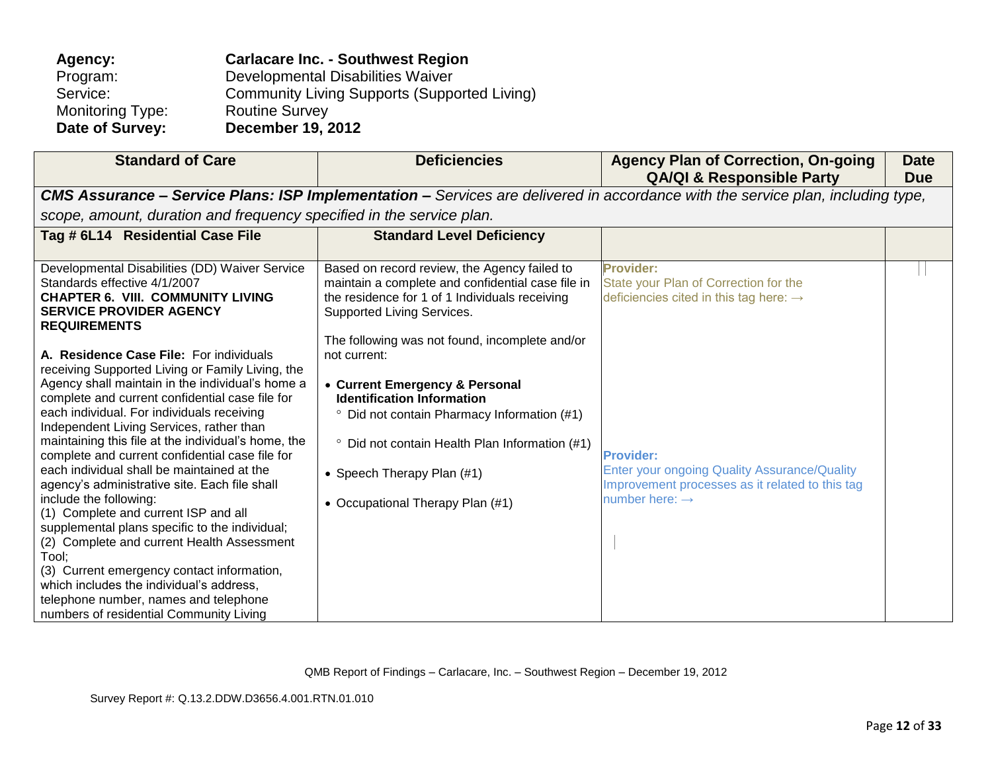| Agency:                 | <b>Carlacare Inc. - Southwest Region</b>            |
|-------------------------|-----------------------------------------------------|
| Program:                | Developmental Disabilities Waiver                   |
| Service:                | <b>Community Living Supports (Supported Living)</b> |
| <b>Monitoring Type:</b> | <b>Routine Survey</b>                               |
| Date of Survey:         | <b>December 19, 2012</b>                            |

| <b>Standard of Care</b>                                                                                                                                                                                                                                                                                                                                                                                                                                                                                                                                                                                                                                                                                                                                                                                                                                                                                                                                                                                                                               | <b>Deficiencies</b>                                                                                                                                                                                                                                                                                                                                                                                                                                                                                                 | <b>Agency Plan of Correction, On-going</b><br><b>QA/QI &amp; Responsible Party</b>                                                                                                                                                                                   | <b>Date</b><br><b>Due</b> |
|-------------------------------------------------------------------------------------------------------------------------------------------------------------------------------------------------------------------------------------------------------------------------------------------------------------------------------------------------------------------------------------------------------------------------------------------------------------------------------------------------------------------------------------------------------------------------------------------------------------------------------------------------------------------------------------------------------------------------------------------------------------------------------------------------------------------------------------------------------------------------------------------------------------------------------------------------------------------------------------------------------------------------------------------------------|---------------------------------------------------------------------------------------------------------------------------------------------------------------------------------------------------------------------------------------------------------------------------------------------------------------------------------------------------------------------------------------------------------------------------------------------------------------------------------------------------------------------|----------------------------------------------------------------------------------------------------------------------------------------------------------------------------------------------------------------------------------------------------------------------|---------------------------|
|                                                                                                                                                                                                                                                                                                                                                                                                                                                                                                                                                                                                                                                                                                                                                                                                                                                                                                                                                                                                                                                       |                                                                                                                                                                                                                                                                                                                                                                                                                                                                                                                     | CMS Assurance - Service Plans: ISP Implementation - Services are delivered in accordance with the service plan, including type,                                                                                                                                      |                           |
| scope, amount, duration and frequency specified in the service plan.                                                                                                                                                                                                                                                                                                                                                                                                                                                                                                                                                                                                                                                                                                                                                                                                                                                                                                                                                                                  |                                                                                                                                                                                                                                                                                                                                                                                                                                                                                                                     |                                                                                                                                                                                                                                                                      |                           |
| Tag # 6L14 Residential Case File                                                                                                                                                                                                                                                                                                                                                                                                                                                                                                                                                                                                                                                                                                                                                                                                                                                                                                                                                                                                                      | <b>Standard Level Deficiency</b>                                                                                                                                                                                                                                                                                                                                                                                                                                                                                    |                                                                                                                                                                                                                                                                      |                           |
| Developmental Disabilities (DD) Waiver Service<br>Standards effective 4/1/2007<br><b>CHAPTER 6. VIII. COMMUNITY LIVING</b><br><b>SERVICE PROVIDER AGENCY</b><br><b>REQUIREMENTS</b><br>A. Residence Case File: For individuals<br>receiving Supported Living or Family Living, the<br>Agency shall maintain in the individual's home a<br>complete and current confidential case file for<br>each individual. For individuals receiving<br>Independent Living Services, rather than<br>maintaining this file at the individual's home, the<br>complete and current confidential case file for<br>each individual shall be maintained at the<br>agency's administrative site. Each file shall<br>include the following:<br>(1) Complete and current ISP and all<br>supplemental plans specific to the individual;<br>(2) Complete and current Health Assessment<br>Tool;<br>(3) Current emergency contact information,<br>which includes the individual's address,<br>telephone number, names and telephone<br>numbers of residential Community Living | Based on record review, the Agency failed to<br>maintain a complete and confidential case file in<br>the residence for 1 of 1 Individuals receiving<br>Supported Living Services.<br>The following was not found, incomplete and/or<br>not current:<br>• Current Emergency & Personal<br><b>Identification Information</b><br><sup>o</sup> Did not contain Pharmacy Information (#1)<br><sup>o</sup> Did not contain Health Plan Information (#1)<br>• Speech Therapy Plan (#1)<br>• Occupational Therapy Plan (#1) | <b>Provider:</b><br>State your Plan of Correction for the<br>deficiencies cited in this tag here: $\rightarrow$<br><b>Provider:</b><br>Enter your ongoing Quality Assurance/Quality<br>Improvement processes as it related to this tag<br>number here: $\rightarrow$ |                           |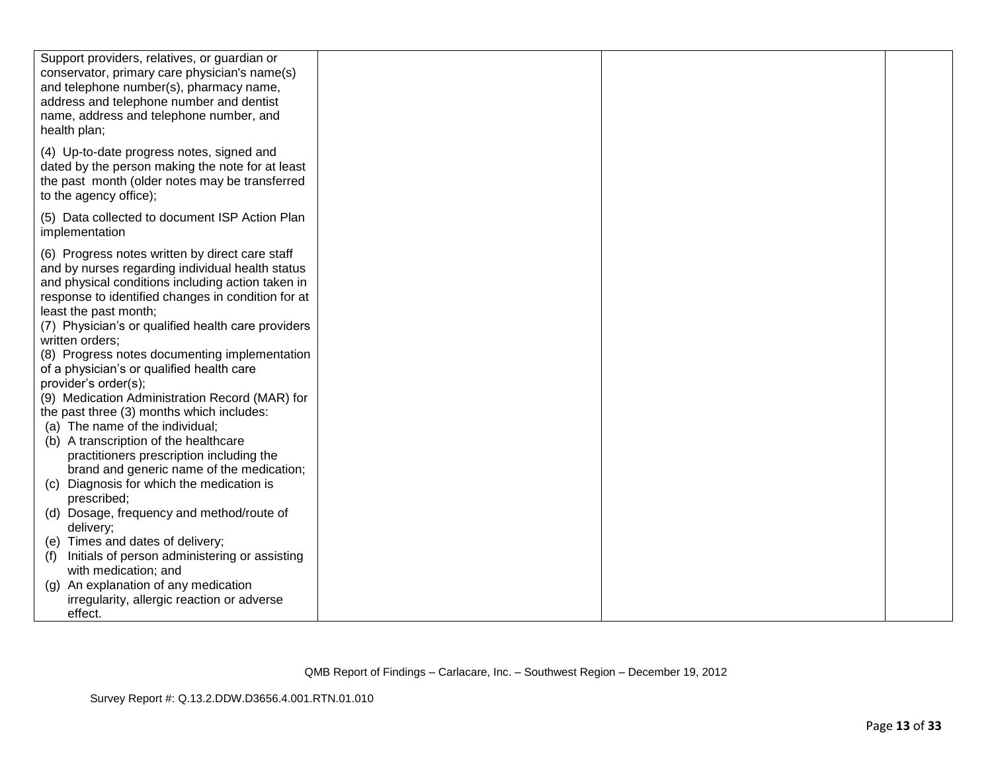| Support providers, relatives, or guardian or<br>conservator, primary care physician's name(s)<br>and telephone number(s), pharmacy name,<br>address and telephone number and dentist<br>name, address and telephone number, and<br>health plan;                                                                                                                                                                                                                                                                                                                                                                                                               |  |  |
|---------------------------------------------------------------------------------------------------------------------------------------------------------------------------------------------------------------------------------------------------------------------------------------------------------------------------------------------------------------------------------------------------------------------------------------------------------------------------------------------------------------------------------------------------------------------------------------------------------------------------------------------------------------|--|--|
| (4) Up-to-date progress notes, signed and<br>dated by the person making the note for at least<br>the past month (older notes may be transferred<br>to the agency office);                                                                                                                                                                                                                                                                                                                                                                                                                                                                                     |  |  |
| (5) Data collected to document ISP Action Plan<br>implementation                                                                                                                                                                                                                                                                                                                                                                                                                                                                                                                                                                                              |  |  |
| (6) Progress notes written by direct care staff<br>and by nurses regarding individual health status<br>and physical conditions including action taken in<br>response to identified changes in condition for at<br>least the past month;<br>(7) Physician's or qualified health care providers<br>written orders;<br>(8) Progress notes documenting implementation<br>of a physician's or qualified health care<br>provider's order(s);<br>(9) Medication Administration Record (MAR) for<br>the past three (3) months which includes:<br>(a) The name of the individual;<br>(b) A transcription of the healthcare<br>practitioners prescription including the |  |  |
| brand and generic name of the medication;<br>Diagnosis for which the medication is<br>(C)<br>prescribed;                                                                                                                                                                                                                                                                                                                                                                                                                                                                                                                                                      |  |  |
| (d) Dosage, frequency and method/route of<br>delivery;                                                                                                                                                                                                                                                                                                                                                                                                                                                                                                                                                                                                        |  |  |
| (e) Times and dates of delivery;<br>Initials of person administering or assisting<br>(f)<br>with medication; and                                                                                                                                                                                                                                                                                                                                                                                                                                                                                                                                              |  |  |
| An explanation of any medication<br>(q)<br>irregularity, allergic reaction or adverse<br>effect.                                                                                                                                                                                                                                                                                                                                                                                                                                                                                                                                                              |  |  |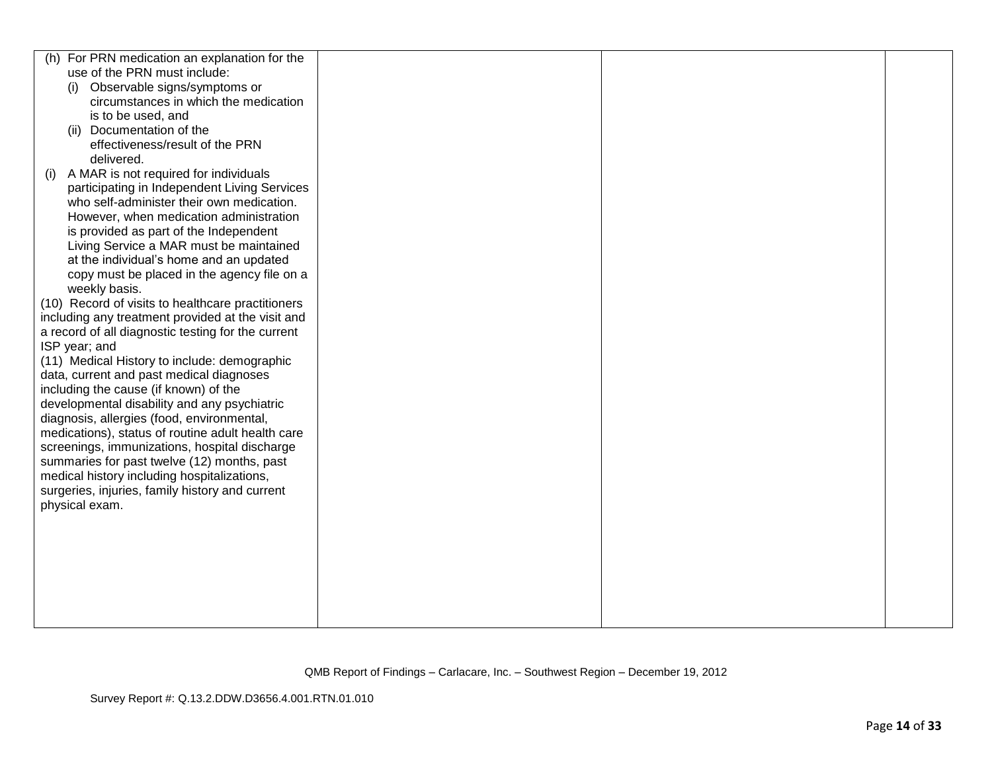| For PRN medication an explanation for the<br>(h)   |  |  |
|----------------------------------------------------|--|--|
| use of the PRN must include:                       |  |  |
| (i) Observable signs/symptoms or                   |  |  |
| circumstances in which the medication              |  |  |
| is to be used, and                                 |  |  |
| Documentation of the                               |  |  |
| (ii)<br>effectiveness/result of the PRN            |  |  |
|                                                    |  |  |
| delivered.                                         |  |  |
| A MAR is not required for individuals<br>(1)       |  |  |
| participating in Independent Living Services       |  |  |
| who self-administer their own medication.          |  |  |
| However, when medication administration            |  |  |
| is provided as part of the Independent             |  |  |
| Living Service a MAR must be maintained            |  |  |
| at the individual's home and an updated            |  |  |
| copy must be placed in the agency file on a        |  |  |
| weekly basis.                                      |  |  |
| (10) Record of visits to healthcare practitioners  |  |  |
| including any treatment provided at the visit and  |  |  |
| a record of all diagnostic testing for the current |  |  |
| ISP year; and                                      |  |  |
| (11) Medical History to include: demographic       |  |  |
| data, current and past medical diagnoses           |  |  |
| including the cause (if known) of the              |  |  |
| developmental disability and any psychiatric       |  |  |
| diagnosis, allergies (food, environmental,         |  |  |
| medications), status of routine adult health care  |  |  |
| screenings, immunizations, hospital discharge      |  |  |
| summaries for past twelve (12) months, past        |  |  |
| medical history including hospitalizations,        |  |  |
|                                                    |  |  |
| surgeries, injuries, family history and current    |  |  |
| physical exam.                                     |  |  |
|                                                    |  |  |
|                                                    |  |  |
|                                                    |  |  |
|                                                    |  |  |
|                                                    |  |  |
|                                                    |  |  |
|                                                    |  |  |
|                                                    |  |  |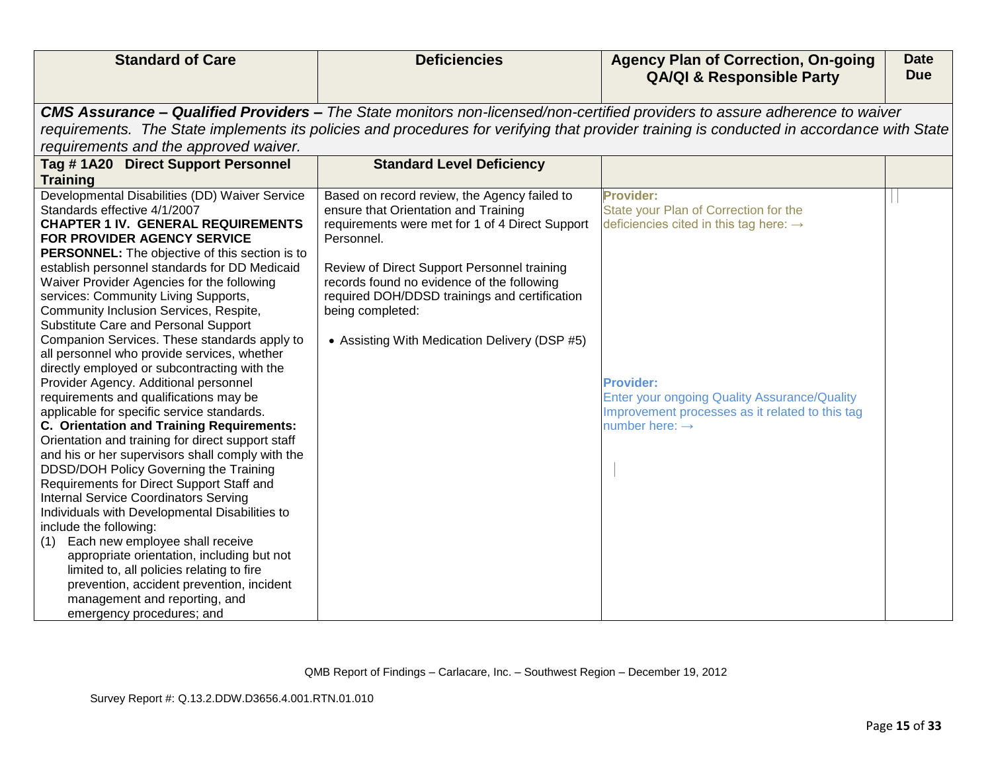| <b>Standard of Care</b>                                                                                                                                                                                                                                                                                                                                                                                                                                                                                                                                                                                                                                                                                                                                                                                                                                                                                                                                                                                                                                                                                                                                                                                                                                                                                                                               | <b>Deficiencies</b>                                                                                                                                                                                                                                                                                                                                                      | <b>Agency Plan of Correction, On-going</b><br><b>QA/QI &amp; Responsible Party</b>                                                                                                                                                                                          | <b>Date</b><br><b>Due</b> |
|-------------------------------------------------------------------------------------------------------------------------------------------------------------------------------------------------------------------------------------------------------------------------------------------------------------------------------------------------------------------------------------------------------------------------------------------------------------------------------------------------------------------------------------------------------------------------------------------------------------------------------------------------------------------------------------------------------------------------------------------------------------------------------------------------------------------------------------------------------------------------------------------------------------------------------------------------------------------------------------------------------------------------------------------------------------------------------------------------------------------------------------------------------------------------------------------------------------------------------------------------------------------------------------------------------------------------------------------------------|--------------------------------------------------------------------------------------------------------------------------------------------------------------------------------------------------------------------------------------------------------------------------------------------------------------------------------------------------------------------------|-----------------------------------------------------------------------------------------------------------------------------------------------------------------------------------------------------------------------------------------------------------------------------|---------------------------|
|                                                                                                                                                                                                                                                                                                                                                                                                                                                                                                                                                                                                                                                                                                                                                                                                                                                                                                                                                                                                                                                                                                                                                                                                                                                                                                                                                       |                                                                                                                                                                                                                                                                                                                                                                          | <b>CMS Assurance – Qualified Providers –</b> The State monitors non-licensed/non-certified providers to assure adherence to waiver                                                                                                                                          |                           |
|                                                                                                                                                                                                                                                                                                                                                                                                                                                                                                                                                                                                                                                                                                                                                                                                                                                                                                                                                                                                                                                                                                                                                                                                                                                                                                                                                       |                                                                                                                                                                                                                                                                                                                                                                          | requirements. The State implements its policies and procedures for verifying that provider training is conducted in accordance with State                                                                                                                                   |                           |
| requirements and the approved waiver.                                                                                                                                                                                                                                                                                                                                                                                                                                                                                                                                                                                                                                                                                                                                                                                                                                                                                                                                                                                                                                                                                                                                                                                                                                                                                                                 |                                                                                                                                                                                                                                                                                                                                                                          |                                                                                                                                                                                                                                                                             |                           |
| Tag #1A20 Direct Support Personnel                                                                                                                                                                                                                                                                                                                                                                                                                                                                                                                                                                                                                                                                                                                                                                                                                                                                                                                                                                                                                                                                                                                                                                                                                                                                                                                    | <b>Standard Level Deficiency</b>                                                                                                                                                                                                                                                                                                                                         |                                                                                                                                                                                                                                                                             |                           |
| <b>Training</b>                                                                                                                                                                                                                                                                                                                                                                                                                                                                                                                                                                                                                                                                                                                                                                                                                                                                                                                                                                                                                                                                                                                                                                                                                                                                                                                                       |                                                                                                                                                                                                                                                                                                                                                                          |                                                                                                                                                                                                                                                                             |                           |
| Developmental Disabilities (DD) Waiver Service<br>Standards effective 4/1/2007<br><b>CHAPTER 1 IV. GENERAL REQUIREMENTS</b><br>FOR PROVIDER AGENCY SERVICE<br><b>PERSONNEL:</b> The objective of this section is to<br>establish personnel standards for DD Medicaid<br>Waiver Provider Agencies for the following<br>services: Community Living Supports,<br>Community Inclusion Services, Respite,<br>Substitute Care and Personal Support<br>Companion Services. These standards apply to<br>all personnel who provide services, whether<br>directly employed or subcontracting with the<br>Provider Agency. Additional personnel<br>requirements and qualifications may be<br>applicable for specific service standards.<br>C. Orientation and Training Requirements:<br>Orientation and training for direct support staff<br>and his or her supervisors shall comply with the<br>DDSD/DOH Policy Governing the Training<br>Requirements for Direct Support Staff and<br><b>Internal Service Coordinators Serving</b><br>Individuals with Developmental Disabilities to<br>include the following:<br>Each new employee shall receive<br>(1)<br>appropriate orientation, including but not<br>limited to, all policies relating to fire<br>prevention, accident prevention, incident<br>management and reporting, and<br>emergency procedures; and | Based on record review, the Agency failed to<br>ensure that Orientation and Training<br>requirements were met for 1 of 4 Direct Support<br>Personnel.<br>Review of Direct Support Personnel training<br>records found no evidence of the following<br>required DOH/DDSD trainings and certification<br>being completed:<br>• Assisting With Medication Delivery (DSP #5) | <b>Provider:</b><br>State your Plan of Correction for the<br>deficiencies cited in this tag here: $\rightarrow$<br><b>Provider:</b><br><b>Enter your ongoing Quality Assurance/Quality</b><br>Improvement processes as it related to this tag<br>number here: $\rightarrow$ |                           |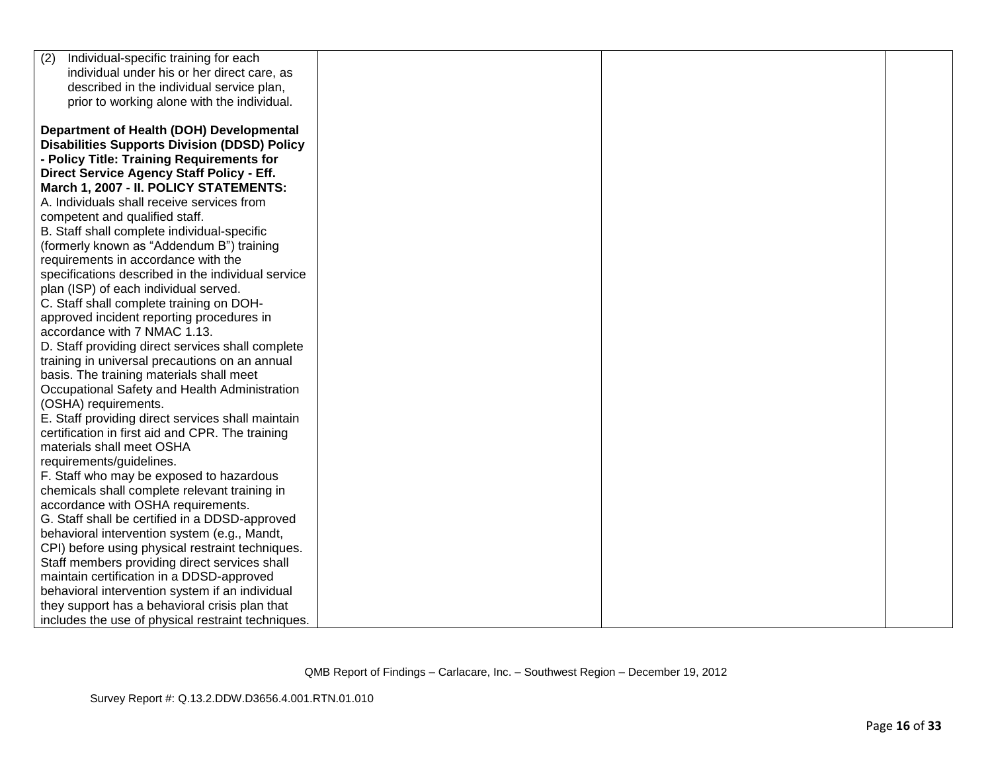| (2)<br>Individual-specific training for each        |  |  |
|-----------------------------------------------------|--|--|
| individual under his or her direct care, as         |  |  |
| described in the individual service plan,           |  |  |
| prior to working alone with the individual.         |  |  |
|                                                     |  |  |
| Department of Health (DOH) Developmental            |  |  |
| <b>Disabilities Supports Division (DDSD) Policy</b> |  |  |
| - Policy Title: Training Requirements for           |  |  |
| Direct Service Agency Staff Policy - Eff.           |  |  |
| March 1, 2007 - II. POLICY STATEMENTS:              |  |  |
| A. Individuals shall receive services from          |  |  |
| competent and qualified staff.                      |  |  |
| B. Staff shall complete individual-specific         |  |  |
| (formerly known as "Addendum B") training           |  |  |
| requirements in accordance with the                 |  |  |
| specifications described in the individual service  |  |  |
| plan (ISP) of each individual served.               |  |  |
| C. Staff shall complete training on DOH-            |  |  |
| approved incident reporting procedures in           |  |  |
| accordance with 7 NMAC 1.13.                        |  |  |
| D. Staff providing direct services shall complete   |  |  |
| training in universal precautions on an annual      |  |  |
| basis. The training materials shall meet            |  |  |
| Occupational Safety and Health Administration       |  |  |
| (OSHA) requirements.                                |  |  |
| E. Staff providing direct services shall maintain   |  |  |
| certification in first aid and CPR. The training    |  |  |
| materials shall meet OSHA                           |  |  |
| requirements/guidelines.                            |  |  |
| F. Staff who may be exposed to hazardous            |  |  |
| chemicals shall complete relevant training in       |  |  |
| accordance with OSHA requirements.                  |  |  |
| G. Staff shall be certified in a DDSD-approved      |  |  |
| behavioral intervention system (e.g., Mandt,        |  |  |
| CPI) before using physical restraint techniques.    |  |  |
| Staff members providing direct services shall       |  |  |
| maintain certification in a DDSD-approved           |  |  |
| behavioral intervention system if an individual     |  |  |
| they support has a behavioral crisis plan that      |  |  |
| includes the use of physical restraint techniques.  |  |  |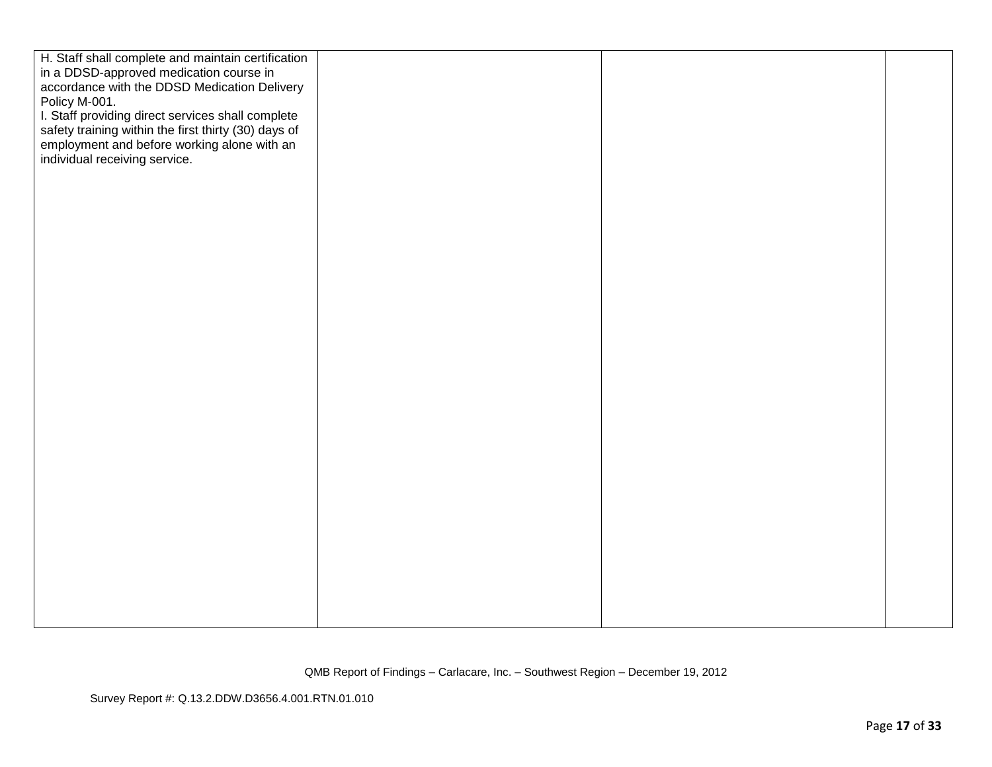| H. Staff shall complete and maintain certification   |  |  |
|------------------------------------------------------|--|--|
| in a DDSD-approved medication course in              |  |  |
| accordance with the DDSD Medication Delivery         |  |  |
| Policy M-001.                                        |  |  |
| I. Staff providing direct services shall complete    |  |  |
| safety training within the first thirty (30) days of |  |  |
| employment and before working alone with an          |  |  |
|                                                      |  |  |
| individual receiving service.                        |  |  |
|                                                      |  |  |
|                                                      |  |  |
|                                                      |  |  |
|                                                      |  |  |
|                                                      |  |  |
|                                                      |  |  |
|                                                      |  |  |
|                                                      |  |  |
|                                                      |  |  |
|                                                      |  |  |
|                                                      |  |  |
|                                                      |  |  |
|                                                      |  |  |
|                                                      |  |  |
|                                                      |  |  |
|                                                      |  |  |
|                                                      |  |  |
|                                                      |  |  |
|                                                      |  |  |
|                                                      |  |  |
|                                                      |  |  |
|                                                      |  |  |
|                                                      |  |  |
|                                                      |  |  |
|                                                      |  |  |
|                                                      |  |  |
|                                                      |  |  |
|                                                      |  |  |
|                                                      |  |  |
|                                                      |  |  |
|                                                      |  |  |
|                                                      |  |  |
|                                                      |  |  |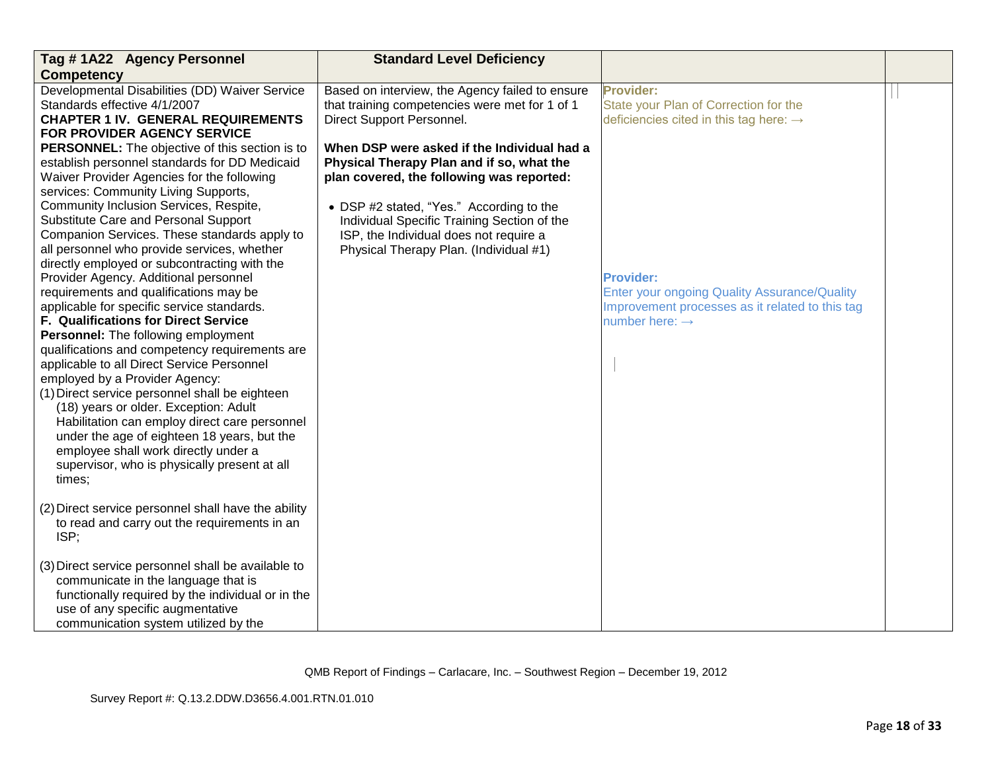| Tag # 1A22 Agency Personnel                                                          | <b>Standard Level Deficiency</b>                |                                                                                                 |  |
|--------------------------------------------------------------------------------------|-------------------------------------------------|-------------------------------------------------------------------------------------------------|--|
| <b>Competency</b>                                                                    |                                                 |                                                                                                 |  |
| Developmental Disabilities (DD) Waiver Service                                       | Based on interview, the Agency failed to ensure | <b>Provider:</b>                                                                                |  |
| Standards effective 4/1/2007                                                         | that training competencies were met for 1 of 1  | State your Plan of Correction for the                                                           |  |
| <b>CHAPTER 1 IV. GENERAL REQUIREMENTS</b>                                            | Direct Support Personnel.                       | deficiencies cited in this tag here: $\rightarrow$                                              |  |
| FOR PROVIDER AGENCY SERVICE                                                          |                                                 |                                                                                                 |  |
| <b>PERSONNEL:</b> The objective of this section is to                                | When DSP were asked if the Individual had a     |                                                                                                 |  |
| establish personnel standards for DD Medicaid                                        | Physical Therapy Plan and if so, what the       |                                                                                                 |  |
| Waiver Provider Agencies for the following                                           | plan covered, the following was reported:       |                                                                                                 |  |
| services: Community Living Supports,                                                 |                                                 |                                                                                                 |  |
| Community Inclusion Services, Respite,                                               | • DSP #2 stated, "Yes." According to the        |                                                                                                 |  |
| Substitute Care and Personal Support                                                 | Individual Specific Training Section of the     |                                                                                                 |  |
| Companion Services. These standards apply to                                         | ISP, the Individual does not require a          |                                                                                                 |  |
| all personnel who provide services, whether                                          | Physical Therapy Plan. (Individual #1)          |                                                                                                 |  |
| directly employed or subcontracting with the                                         |                                                 | <b>Provider:</b>                                                                                |  |
| Provider Agency. Additional personnel                                                |                                                 |                                                                                                 |  |
| requirements and qualifications may be<br>applicable for specific service standards. |                                                 | Enter your ongoing Quality Assurance/Quality<br>Improvement processes as it related to this tag |  |
| <b>F. Qualifications for Direct Service</b>                                          |                                                 | number here: $\rightarrow$                                                                      |  |
| <b>Personnel:</b> The following employment                                           |                                                 |                                                                                                 |  |
| qualifications and competency requirements are                                       |                                                 |                                                                                                 |  |
| applicable to all Direct Service Personnel                                           |                                                 |                                                                                                 |  |
| employed by a Provider Agency:                                                       |                                                 |                                                                                                 |  |
| (1) Direct service personnel shall be eighteen                                       |                                                 |                                                                                                 |  |
| (18) years or older. Exception: Adult                                                |                                                 |                                                                                                 |  |
| Habilitation can employ direct care personnel                                        |                                                 |                                                                                                 |  |
| under the age of eighteen 18 years, but the                                          |                                                 |                                                                                                 |  |
| employee shall work directly under a                                                 |                                                 |                                                                                                 |  |
| supervisor, who is physically present at all                                         |                                                 |                                                                                                 |  |
| times;                                                                               |                                                 |                                                                                                 |  |
|                                                                                      |                                                 |                                                                                                 |  |
| (2) Direct service personnel shall have the ability                                  |                                                 |                                                                                                 |  |
| to read and carry out the requirements in an                                         |                                                 |                                                                                                 |  |
| ISP;                                                                                 |                                                 |                                                                                                 |  |
|                                                                                      |                                                 |                                                                                                 |  |
| (3) Direct service personnel shall be available to                                   |                                                 |                                                                                                 |  |
| communicate in the language that is                                                  |                                                 |                                                                                                 |  |
| functionally required by the individual or in the                                    |                                                 |                                                                                                 |  |
| use of any specific augmentative                                                     |                                                 |                                                                                                 |  |
| communication system utilized by the                                                 |                                                 |                                                                                                 |  |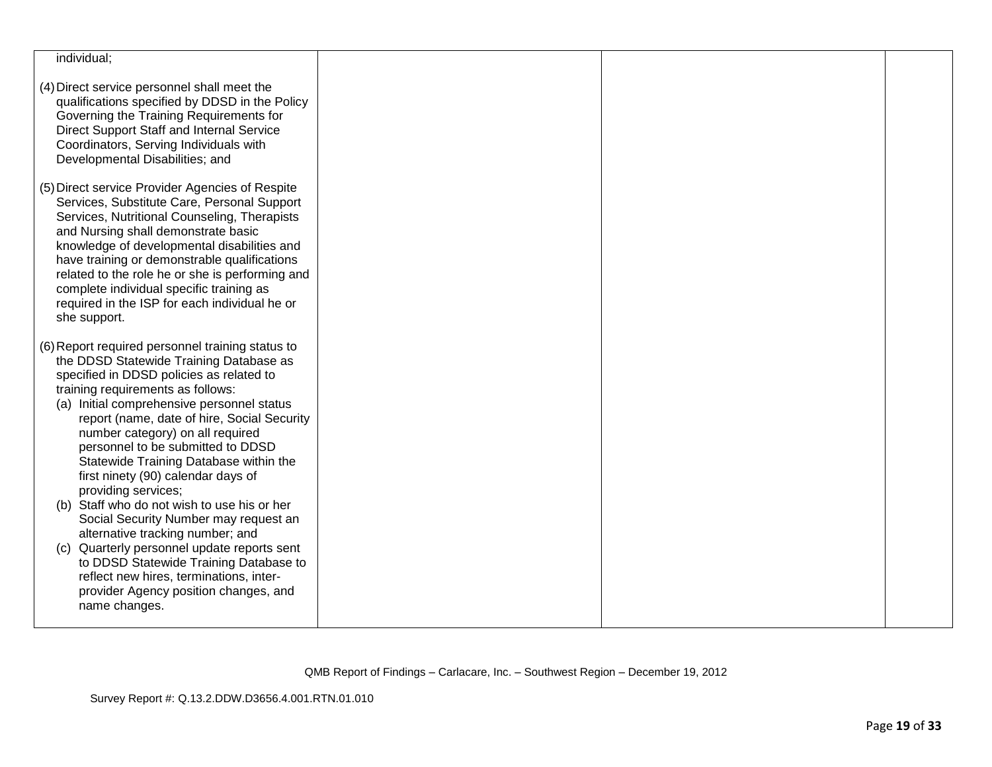| individual;                                                                                                                                                                                                                                                                                                                                                                                                                                                                                                                                                                                                                                                                                                                                                                         |  |  |
|-------------------------------------------------------------------------------------------------------------------------------------------------------------------------------------------------------------------------------------------------------------------------------------------------------------------------------------------------------------------------------------------------------------------------------------------------------------------------------------------------------------------------------------------------------------------------------------------------------------------------------------------------------------------------------------------------------------------------------------------------------------------------------------|--|--|
| (4) Direct service personnel shall meet the<br>qualifications specified by DDSD in the Policy<br>Governing the Training Requirements for<br>Direct Support Staff and Internal Service<br>Coordinators, Serving Individuals with<br>Developmental Disabilities; and                                                                                                                                                                                                                                                                                                                                                                                                                                                                                                                  |  |  |
| (5) Direct service Provider Agencies of Respite<br>Services, Substitute Care, Personal Support<br>Services, Nutritional Counseling, Therapists<br>and Nursing shall demonstrate basic<br>knowledge of developmental disabilities and<br>have training or demonstrable qualifications<br>related to the role he or she is performing and<br>complete individual specific training as<br>required in the ISP for each individual he or<br>she support.                                                                                                                                                                                                                                                                                                                                |  |  |
| (6) Report required personnel training status to<br>the DDSD Statewide Training Database as<br>specified in DDSD policies as related to<br>training requirements as follows:<br>(a) Initial comprehensive personnel status<br>report (name, date of hire, Social Security<br>number category) on all required<br>personnel to be submitted to DDSD<br>Statewide Training Database within the<br>first ninety (90) calendar days of<br>providing services;<br>(b) Staff who do not wish to use his or her<br>Social Security Number may request an<br>alternative tracking number; and<br>(c) Quarterly personnel update reports sent<br>to DDSD Statewide Training Database to<br>reflect new hires, terminations, inter-<br>provider Agency position changes, and<br>name changes. |  |  |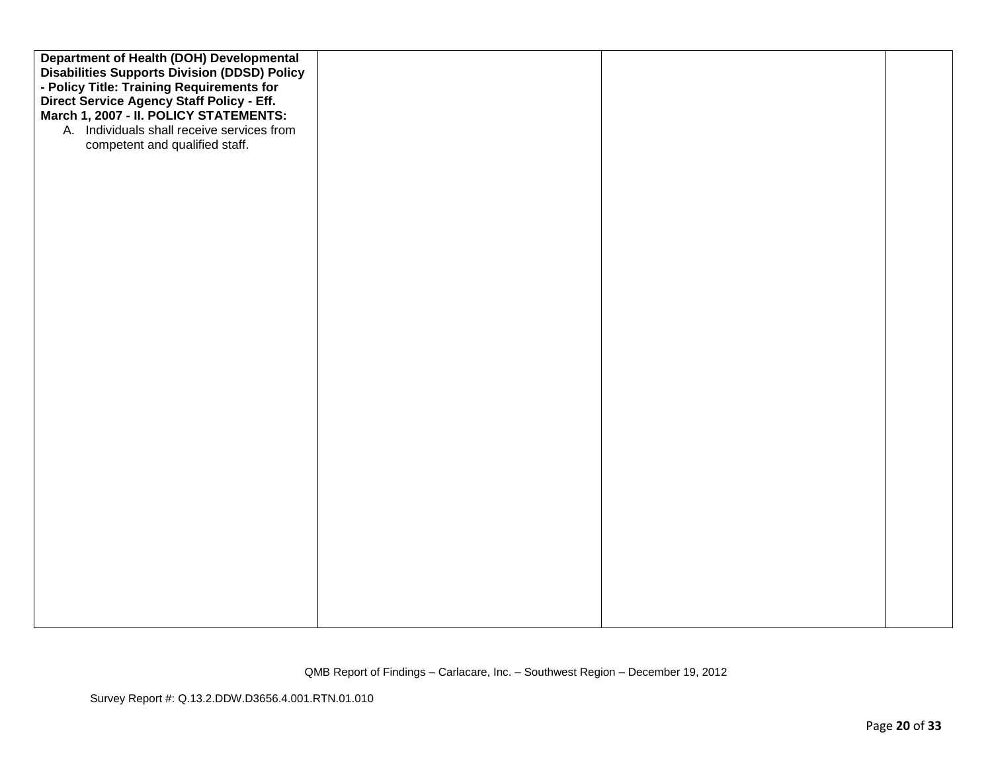| <b>Department of Health (DOH) Developmental</b>     |  |  |
|-----------------------------------------------------|--|--|
| <b>Disabilities Supports Division (DDSD) Policy</b> |  |  |
| - Policy Title: Training Requirements for           |  |  |
| Direct Service Agency Staff Policy - Eff.           |  |  |
| March 1, 2007 - II. POLICY STATEMENTS:              |  |  |
| A. Individuals shall receive services from          |  |  |
| competent and qualified staff.                      |  |  |
|                                                     |  |  |
|                                                     |  |  |
|                                                     |  |  |
|                                                     |  |  |
|                                                     |  |  |
|                                                     |  |  |
|                                                     |  |  |
|                                                     |  |  |
|                                                     |  |  |
|                                                     |  |  |
|                                                     |  |  |
|                                                     |  |  |
|                                                     |  |  |
|                                                     |  |  |
|                                                     |  |  |
|                                                     |  |  |
|                                                     |  |  |
|                                                     |  |  |
|                                                     |  |  |
|                                                     |  |  |
|                                                     |  |  |
|                                                     |  |  |
|                                                     |  |  |
|                                                     |  |  |
|                                                     |  |  |
|                                                     |  |  |
|                                                     |  |  |
|                                                     |  |  |
|                                                     |  |  |
|                                                     |  |  |
|                                                     |  |  |
|                                                     |  |  |
|                                                     |  |  |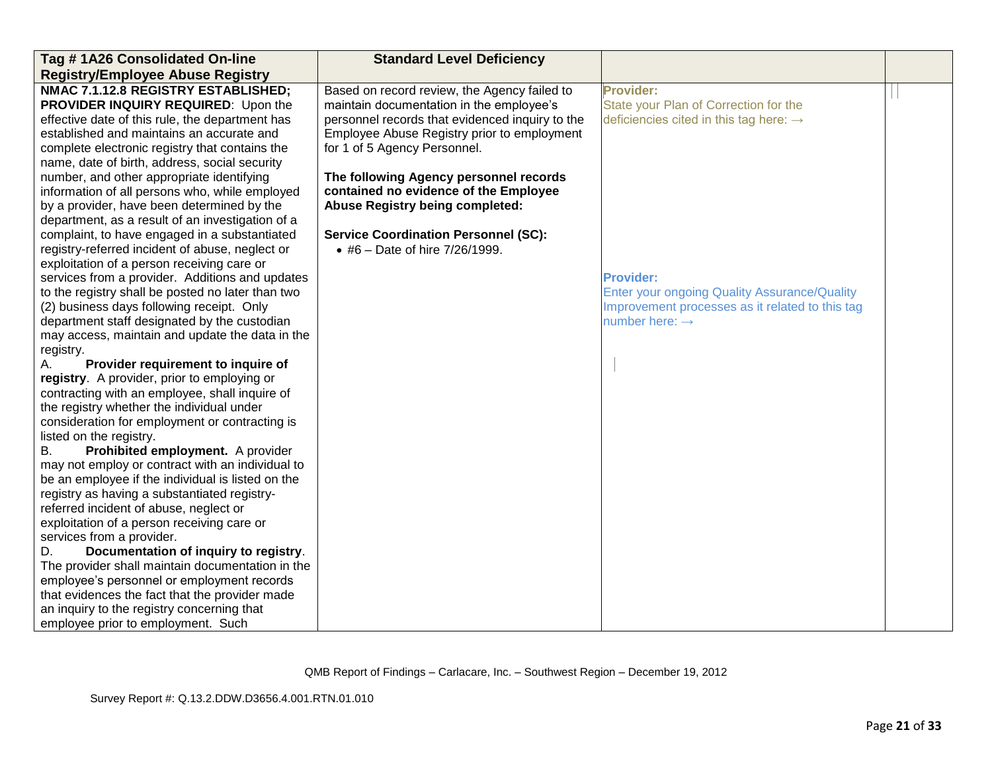| Tag #1A26 Consolidated On-line                    | <b>Standard Level Deficiency</b>                |                                                     |  |
|---------------------------------------------------|-------------------------------------------------|-----------------------------------------------------|--|
| <b>Registry/Employee Abuse Registry</b>           |                                                 |                                                     |  |
| NMAC 7.1.12.8 REGISTRY ESTABLISHED;               | Based on record review, the Agency failed to    | <b>Provider:</b>                                    |  |
| PROVIDER INQUIRY REQUIRED: Upon the               | maintain documentation in the employee's        | State your Plan of Correction for the               |  |
| effective date of this rule, the department has   | personnel records that evidenced inquiry to the | deficiencies cited in this tag here: $\rightarrow$  |  |
| established and maintains an accurate and         | Employee Abuse Registry prior to employment     |                                                     |  |
| complete electronic registry that contains the    | for 1 of 5 Agency Personnel.                    |                                                     |  |
| name, date of birth, address, social security     |                                                 |                                                     |  |
| number, and other appropriate identifying         | The following Agency personnel records          |                                                     |  |
| information of all persons who, while employed    | contained no evidence of the Employee           |                                                     |  |
| by a provider, have been determined by the        | <b>Abuse Registry being completed:</b>          |                                                     |  |
| department, as a result of an investigation of a  |                                                 |                                                     |  |
| complaint, to have engaged in a substantiated     | <b>Service Coordination Personnel (SC):</b>     |                                                     |  |
| registry-referred incident of abuse, neglect or   | • #6 - Date of hire 7/26/1999.                  |                                                     |  |
| exploitation of a person receiving care or        |                                                 |                                                     |  |
| services from a provider. Additions and updates   |                                                 | <b>Provider:</b>                                    |  |
| to the registry shall be posted no later than two |                                                 | <b>Enter your ongoing Quality Assurance/Quality</b> |  |
| (2) business days following receipt. Only         |                                                 | Improvement processes as it related to this tag     |  |
| department staff designated by the custodian      |                                                 | number here: $\rightarrow$                          |  |
| may access, maintain and update the data in the   |                                                 |                                                     |  |
| registry.                                         |                                                 |                                                     |  |
| Provider requirement to inquire of<br>А.          |                                                 |                                                     |  |
| registry. A provider, prior to employing or       |                                                 |                                                     |  |
| contracting with an employee, shall inquire of    |                                                 |                                                     |  |
| the registry whether the individual under         |                                                 |                                                     |  |
| consideration for employment or contracting is    |                                                 |                                                     |  |
| listed on the registry.                           |                                                 |                                                     |  |
| Prohibited employment. A provider<br>В.           |                                                 |                                                     |  |
| may not employ or contract with an individual to  |                                                 |                                                     |  |
| be an employee if the individual is listed on the |                                                 |                                                     |  |
| registry as having a substantiated registry-      |                                                 |                                                     |  |
| referred incident of abuse, neglect or            |                                                 |                                                     |  |
| exploitation of a person receiving care or        |                                                 |                                                     |  |
| services from a provider.                         |                                                 |                                                     |  |
| Documentation of inquiry to registry.<br>D.       |                                                 |                                                     |  |
| The provider shall maintain documentation in the  |                                                 |                                                     |  |
| employee's personnel or employment records        |                                                 |                                                     |  |
| that evidences the fact that the provider made    |                                                 |                                                     |  |
| an inquiry to the registry concerning that        |                                                 |                                                     |  |
| employee prior to employment. Such                |                                                 |                                                     |  |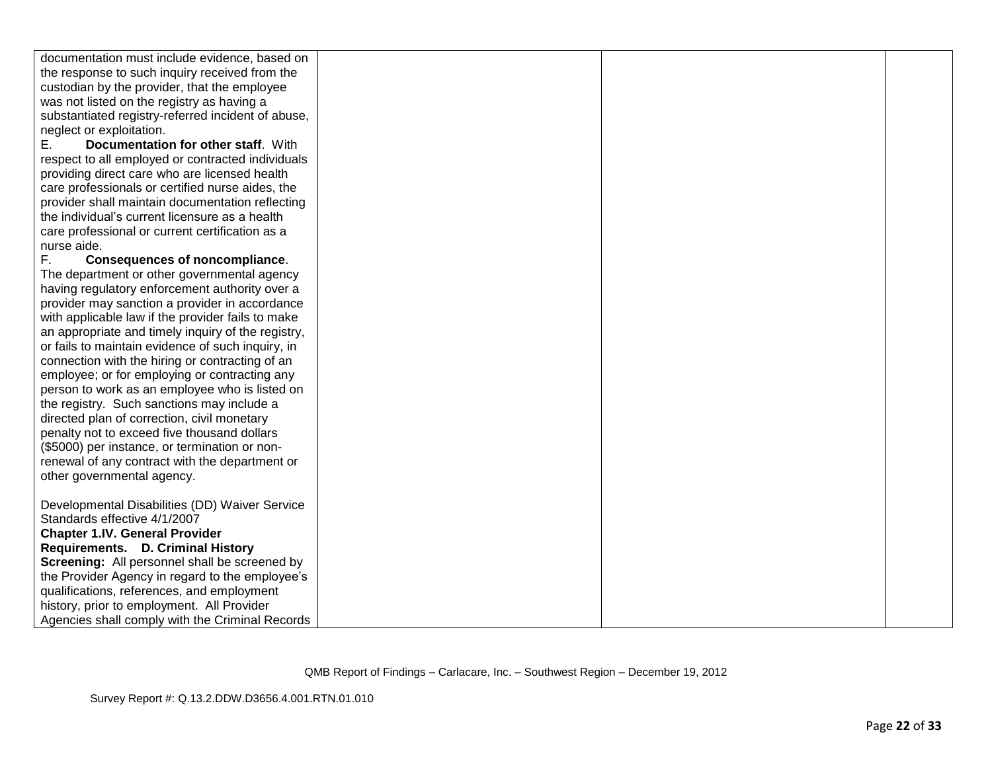| documentation must include evidence, based on      |  |  |
|----------------------------------------------------|--|--|
| the response to such inquiry received from the     |  |  |
| custodian by the provider, that the employee       |  |  |
| was not listed on the registry as having a         |  |  |
| substantiated registry-referred incident of abuse, |  |  |
| neglect or exploitation.                           |  |  |
| Documentation for other staff. With<br>Е.          |  |  |
| respect to all employed or contracted individuals  |  |  |
| providing direct care who are licensed health      |  |  |
| care professionals or certified nurse aides, the   |  |  |
| provider shall maintain documentation reflecting   |  |  |
| the individual's current licensure as a health     |  |  |
| care professional or current certification as a    |  |  |
| nurse aide.                                        |  |  |
| F.<br>Consequences of noncompliance.               |  |  |
| The department or other governmental agency        |  |  |
| having regulatory enforcement authority over a     |  |  |
| provider may sanction a provider in accordance     |  |  |
| with applicable law if the provider fails to make  |  |  |
| an appropriate and timely inquiry of the registry, |  |  |
| or fails to maintain evidence of such inquiry, in  |  |  |
| connection with the hiring or contracting of an    |  |  |
| employee; or for employing or contracting any      |  |  |
| person to work as an employee who is listed on     |  |  |
| the registry. Such sanctions may include a         |  |  |
| directed plan of correction, civil monetary        |  |  |
| penalty not to exceed five thousand dollars        |  |  |
| (\$5000) per instance, or termination or non-      |  |  |
| renewal of any contract with the department or     |  |  |
| other governmental agency.                         |  |  |
|                                                    |  |  |
| Developmental Disabilities (DD) Waiver Service     |  |  |
| Standards effective 4/1/2007                       |  |  |
| <b>Chapter 1.IV. General Provider</b>              |  |  |
| Requirements. D. Criminal History                  |  |  |
| Screening: All personnel shall be screened by      |  |  |
| the Provider Agency in regard to the employee's    |  |  |
| qualifications, references, and employment         |  |  |
| history, prior to employment. All Provider         |  |  |
| Agencies shall comply with the Criminal Records    |  |  |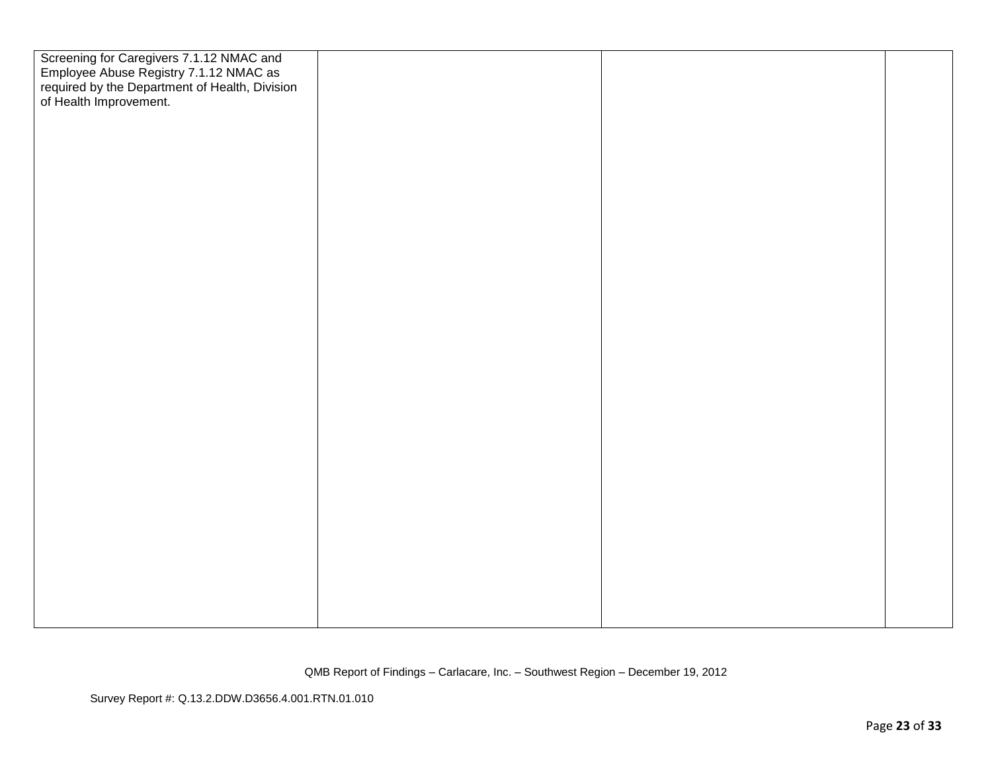| Screening for Caregivers 7.1.12 NMAC and<br>Employee Abuse Registry 7.1.12 NMAC as<br>required by the Department of Health, Division<br>of Health Improvement. |  |  |
|----------------------------------------------------------------------------------------------------------------------------------------------------------------|--|--|
|                                                                                                                                                                |  |  |
|                                                                                                                                                                |  |  |
|                                                                                                                                                                |  |  |
|                                                                                                                                                                |  |  |
|                                                                                                                                                                |  |  |
|                                                                                                                                                                |  |  |
|                                                                                                                                                                |  |  |
|                                                                                                                                                                |  |  |
|                                                                                                                                                                |  |  |
|                                                                                                                                                                |  |  |
|                                                                                                                                                                |  |  |
|                                                                                                                                                                |  |  |
|                                                                                                                                                                |  |  |
|                                                                                                                                                                |  |  |
|                                                                                                                                                                |  |  |
|                                                                                                                                                                |  |  |
|                                                                                                                                                                |  |  |
|                                                                                                                                                                |  |  |
|                                                                                                                                                                |  |  |
|                                                                                                                                                                |  |  |
|                                                                                                                                                                |  |  |
|                                                                                                                                                                |  |  |
|                                                                                                                                                                |  |  |
|                                                                                                                                                                |  |  |
|                                                                                                                                                                |  |  |
|                                                                                                                                                                |  |  |
|                                                                                                                                                                |  |  |
|                                                                                                                                                                |  |  |
|                                                                                                                                                                |  |  |
|                                                                                                                                                                |  |  |
|                                                                                                                                                                |  |  |
|                                                                                                                                                                |  |  |
|                                                                                                                                                                |  |  |
|                                                                                                                                                                |  |  |
|                                                                                                                                                                |  |  |
|                                                                                                                                                                |  |  |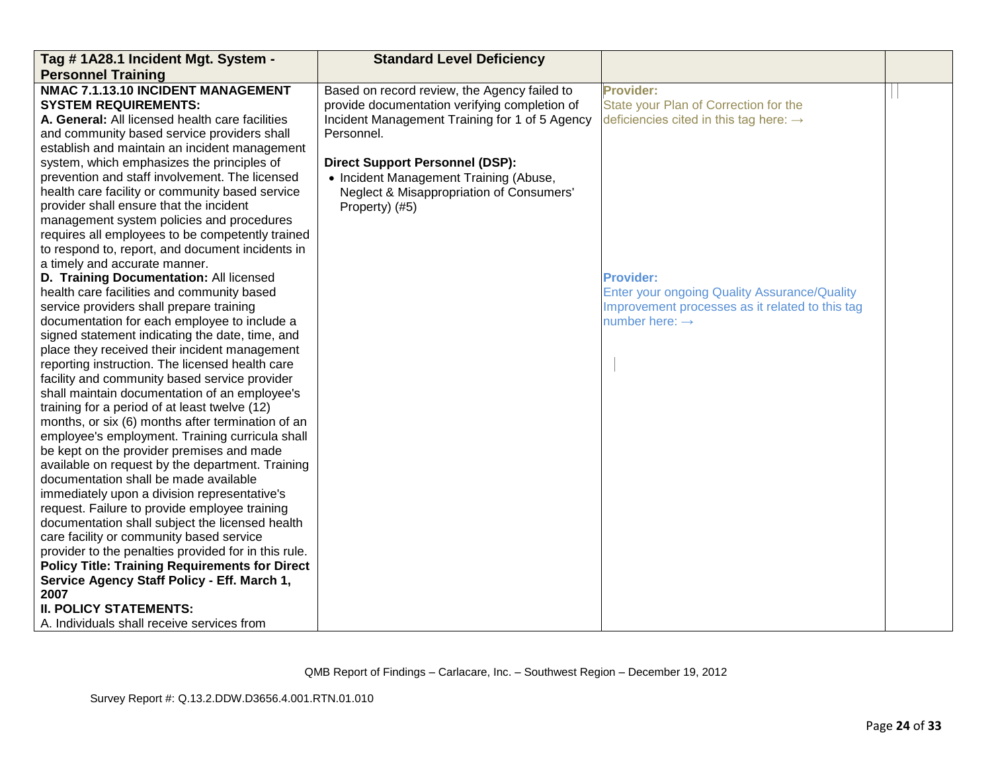| Tag # 1A28.1 Incident Mgt. System -                   | <b>Standard Level Deficiency</b>               |                                                     |  |
|-------------------------------------------------------|------------------------------------------------|-----------------------------------------------------|--|
| <b>Personnel Training</b>                             |                                                |                                                     |  |
| NMAC 7.1.13.10 INCIDENT MANAGEMENT                    | Based on record review, the Agency failed to   | <b>Provider:</b>                                    |  |
| <b>SYSTEM REQUIREMENTS:</b>                           | provide documentation verifying completion of  | State your Plan of Correction for the               |  |
| A. General: All licensed health care facilities       | Incident Management Training for 1 of 5 Agency | deficiencies cited in this tag here: $\rightarrow$  |  |
| and community based service providers shall           | Personnel.                                     |                                                     |  |
| establish and maintain an incident management         |                                                |                                                     |  |
| system, which emphasizes the principles of            | <b>Direct Support Personnel (DSP):</b>         |                                                     |  |
| prevention and staff involvement. The licensed        | • Incident Management Training (Abuse,         |                                                     |  |
| health care facility or community based service       | Neglect & Misappropriation of Consumers'       |                                                     |  |
| provider shall ensure that the incident               | Property) (#5)                                 |                                                     |  |
| management system policies and procedures             |                                                |                                                     |  |
| requires all employees to be competently trained      |                                                |                                                     |  |
| to respond to, report, and document incidents in      |                                                |                                                     |  |
| a timely and accurate manner.                         |                                                |                                                     |  |
| D. Training Documentation: All licensed               |                                                | <b>Provider:</b>                                    |  |
| health care facilities and community based            |                                                | <b>Enter your ongoing Quality Assurance/Quality</b> |  |
| service providers shall prepare training              |                                                | Improvement processes as it related to this tag     |  |
| documentation for each employee to include a          |                                                | number here: $\rightarrow$                          |  |
| signed statement indicating the date, time, and       |                                                |                                                     |  |
| place they received their incident management         |                                                |                                                     |  |
| reporting instruction. The licensed health care       |                                                |                                                     |  |
| facility and community based service provider         |                                                |                                                     |  |
| shall maintain documentation of an employee's         |                                                |                                                     |  |
| training for a period of at least twelve (12)         |                                                |                                                     |  |
| months, or six (6) months after termination of an     |                                                |                                                     |  |
| employee's employment. Training curricula shall       |                                                |                                                     |  |
| be kept on the provider premises and made             |                                                |                                                     |  |
| available on request by the department. Training      |                                                |                                                     |  |
| documentation shall be made available                 |                                                |                                                     |  |
| immediately upon a division representative's          |                                                |                                                     |  |
| request. Failure to provide employee training         |                                                |                                                     |  |
| documentation shall subject the licensed health       |                                                |                                                     |  |
| care facility or community based service              |                                                |                                                     |  |
| provider to the penalties provided for in this rule.  |                                                |                                                     |  |
| <b>Policy Title: Training Requirements for Direct</b> |                                                |                                                     |  |
| Service Agency Staff Policy - Eff. March 1,           |                                                |                                                     |  |
| 2007                                                  |                                                |                                                     |  |
| <b>II. POLICY STATEMENTS:</b>                         |                                                |                                                     |  |
| A. Individuals shall receive services from            |                                                |                                                     |  |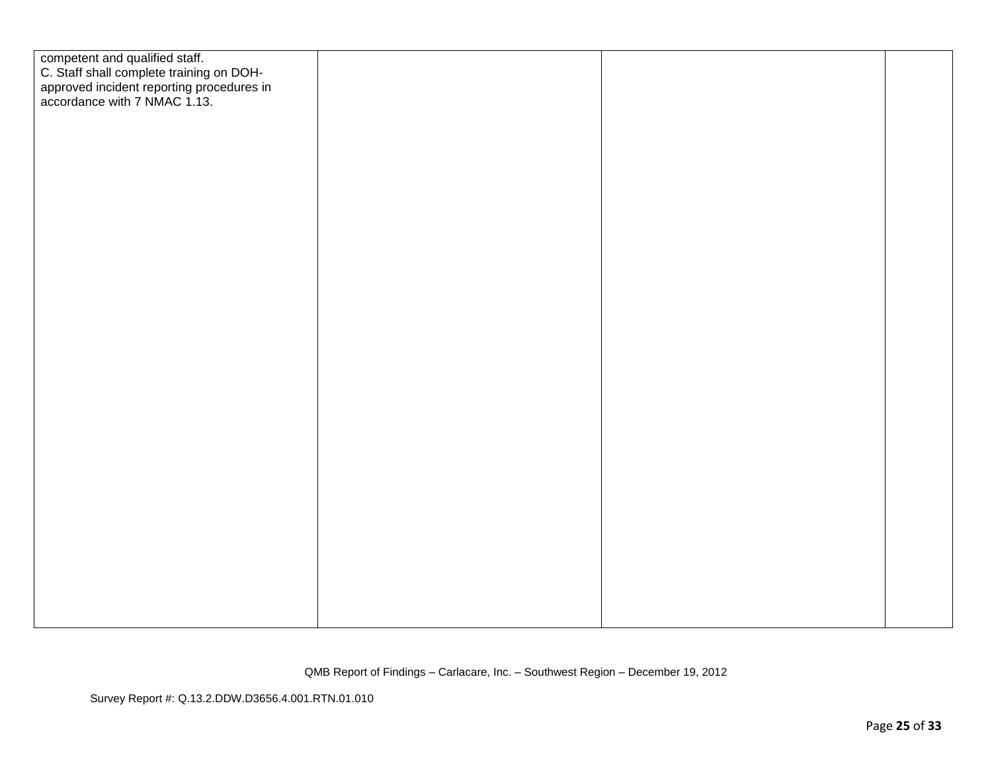| competent and qualified staff.<br>C. Staff shall complete training on DOH-<br>approved incident reporting procedures in<br>accordance with 7 NMAC 1.13. |  |  |
|---------------------------------------------------------------------------------------------------------------------------------------------------------|--|--|
|                                                                                                                                                         |  |  |
|                                                                                                                                                         |  |  |
|                                                                                                                                                         |  |  |
|                                                                                                                                                         |  |  |
|                                                                                                                                                         |  |  |
|                                                                                                                                                         |  |  |
|                                                                                                                                                         |  |  |
|                                                                                                                                                         |  |  |
|                                                                                                                                                         |  |  |
|                                                                                                                                                         |  |  |
|                                                                                                                                                         |  |  |
|                                                                                                                                                         |  |  |
|                                                                                                                                                         |  |  |
|                                                                                                                                                         |  |  |
|                                                                                                                                                         |  |  |
|                                                                                                                                                         |  |  |
|                                                                                                                                                         |  |  |
|                                                                                                                                                         |  |  |
|                                                                                                                                                         |  |  |
|                                                                                                                                                         |  |  |
|                                                                                                                                                         |  |  |
|                                                                                                                                                         |  |  |
|                                                                                                                                                         |  |  |
|                                                                                                                                                         |  |  |
|                                                                                                                                                         |  |  |
|                                                                                                                                                         |  |  |
|                                                                                                                                                         |  |  |
|                                                                                                                                                         |  |  |
|                                                                                                                                                         |  |  |
|                                                                                                                                                         |  |  |
|                                                                                                                                                         |  |  |
|                                                                                                                                                         |  |  |
|                                                                                                                                                         |  |  |
|                                                                                                                                                         |  |  |
|                                                                                                                                                         |  |  |
|                                                                                                                                                         |  |  |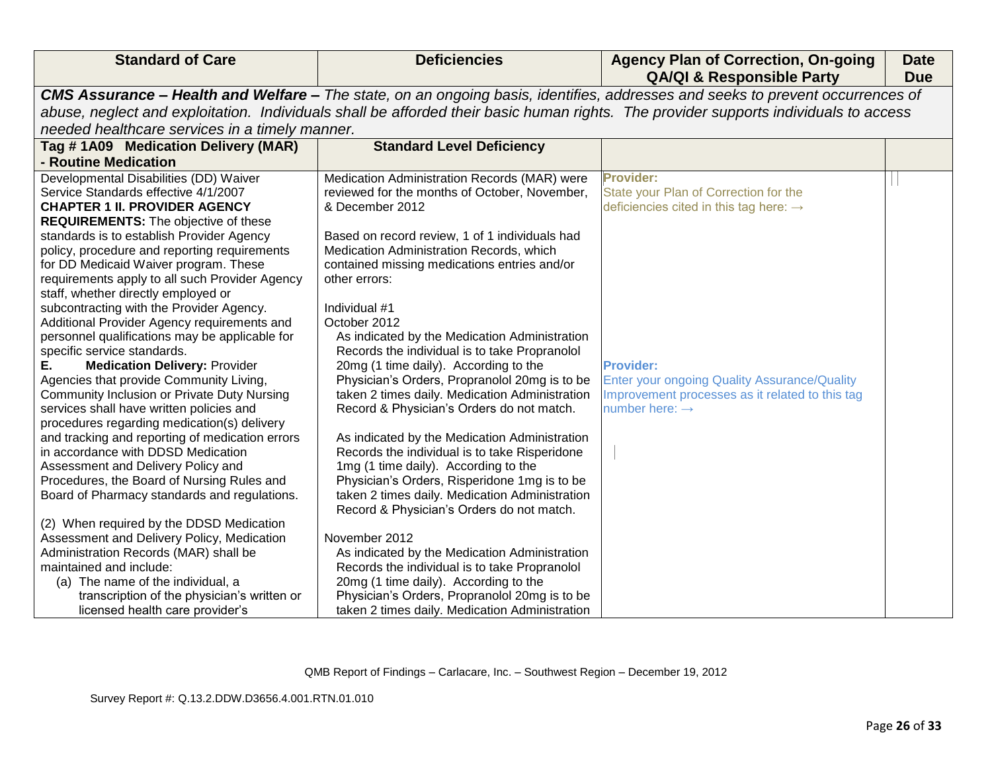| <b>Standard of Care</b>                                                   | <b>Deficiencies</b>                                                                    | <b>Agency Plan of Correction, On-going</b><br><b>QA/QI &amp; Responsible Party</b>                                                   | <b>Date</b><br><b>Due</b> |
|---------------------------------------------------------------------------|----------------------------------------------------------------------------------------|--------------------------------------------------------------------------------------------------------------------------------------|---------------------------|
|                                                                           |                                                                                        | CMS Assurance - Health and Welfare - The state, on an ongoing basis, identifies, addresses and seeks to prevent occurrences of       |                           |
|                                                                           |                                                                                        | abuse, neglect and exploitation. Individuals shall be afforded their basic human rights. The provider supports individuals to access |                           |
| needed healthcare services in a timely manner.                            |                                                                                        |                                                                                                                                      |                           |
| Tag #1A09 Medication Delivery (MAR)                                       | <b>Standard Level Deficiency</b>                                                       |                                                                                                                                      |                           |
| - Routine Medication                                                      |                                                                                        |                                                                                                                                      |                           |
| Developmental Disabilities (DD) Waiver                                    | Medication Administration Records (MAR) were                                           | Provider:                                                                                                                            |                           |
| Service Standards effective 4/1/2007                                      | reviewed for the months of October, November,                                          | State your Plan of Correction for the                                                                                                |                           |
| <b>CHAPTER 1 II. PROVIDER AGENCY</b>                                      | & December 2012                                                                        | deficiencies cited in this tag here: $\rightarrow$                                                                                   |                           |
| <b>REQUIREMENTS:</b> The objective of these                               |                                                                                        |                                                                                                                                      |                           |
| standards is to establish Provider Agency                                 | Based on record review, 1 of 1 individuals had                                         |                                                                                                                                      |                           |
| policy, procedure and reporting requirements                              | Medication Administration Records, which                                               |                                                                                                                                      |                           |
| for DD Medicaid Waiver program. These                                     | contained missing medications entries and/or                                           |                                                                                                                                      |                           |
| requirements apply to all such Provider Agency                            | other errors:                                                                          |                                                                                                                                      |                           |
| staff, whether directly employed or                                       |                                                                                        |                                                                                                                                      |                           |
| subcontracting with the Provider Agency.                                  | Individual #1                                                                          |                                                                                                                                      |                           |
| Additional Provider Agency requirements and                               | October 2012                                                                           |                                                                                                                                      |                           |
| personnel qualifications may be applicable for                            | As indicated by the Medication Administration                                          |                                                                                                                                      |                           |
| specific service standards.<br>Е.<br><b>Medication Delivery: Provider</b> | Records the individual is to take Propranolol<br>20mg (1 time daily). According to the | <b>Provider:</b>                                                                                                                     |                           |
| Agencies that provide Community Living,                                   | Physician's Orders, Propranolol 20mg is to be                                          | <b>Enter your ongoing Quality Assurance/Quality</b>                                                                                  |                           |
| <b>Community Inclusion or Private Duty Nursing</b>                        | taken 2 times daily. Medication Administration                                         | Improvement processes as it related to this tag                                                                                      |                           |
| services shall have written policies and                                  | Record & Physician's Orders do not match.                                              | number here: $\rightarrow$                                                                                                           |                           |
| procedures regarding medication(s) delivery                               |                                                                                        |                                                                                                                                      |                           |
| and tracking and reporting of medication errors                           | As indicated by the Medication Administration                                          |                                                                                                                                      |                           |
| in accordance with DDSD Medication                                        | Records the individual is to take Risperidone                                          |                                                                                                                                      |                           |
| Assessment and Delivery Policy and                                        | 1mg (1 time daily). According to the                                                   |                                                                                                                                      |                           |
| Procedures, the Board of Nursing Rules and                                | Physician's Orders, Risperidone 1mg is to be                                           |                                                                                                                                      |                           |
| Board of Pharmacy standards and regulations.                              | taken 2 times daily. Medication Administration                                         |                                                                                                                                      |                           |
|                                                                           | Record & Physician's Orders do not match.                                              |                                                                                                                                      |                           |
| (2) When required by the DDSD Medication                                  |                                                                                        |                                                                                                                                      |                           |
| Assessment and Delivery Policy, Medication                                | November 2012                                                                          |                                                                                                                                      |                           |
| Administration Records (MAR) shall be                                     | As indicated by the Medication Administration                                          |                                                                                                                                      |                           |
| maintained and include:<br>(a) The name of the individual, a              | Records the individual is to take Propranolol<br>20mg (1 time daily). According to the |                                                                                                                                      |                           |
| transcription of the physician's written or                               | Physician's Orders, Propranolol 20mg is to be                                          |                                                                                                                                      |                           |
| licensed health care provider's                                           | taken 2 times daily. Medication Administration                                         |                                                                                                                                      |                           |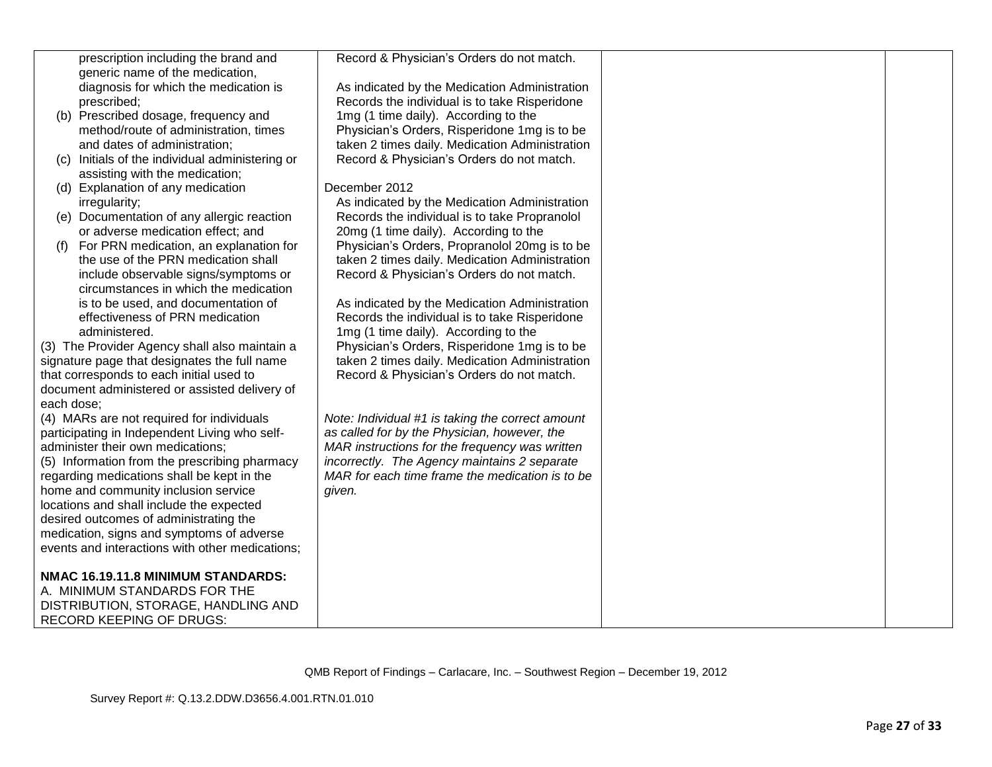|            | prescription including the brand and            | Record & Physician's Orders do not match.        |  |
|------------|-------------------------------------------------|--------------------------------------------------|--|
|            | generic name of the medication,                 |                                                  |  |
|            | diagnosis for which the medication is           | As indicated by the Medication Administration    |  |
|            | prescribed;                                     | Records the individual is to take Risperidone    |  |
|            | (b) Prescribed dosage, frequency and            | 1mg (1 time daily). According to the             |  |
|            | method/route of administration, times           | Physician's Orders, Risperidone 1mg is to be     |  |
|            | and dates of administration;                    | taken 2 times daily. Medication Administration   |  |
|            | (c) Initials of the individual administering or | Record & Physician's Orders do not match.        |  |
|            | assisting with the medication;                  |                                                  |  |
|            | (d) Explanation of any medication               | December 2012                                    |  |
|            | irregularity;                                   | As indicated by the Medication Administration    |  |
|            | (e) Documentation of any allergic reaction      | Records the individual is to take Propranolol    |  |
|            | or adverse medication effect; and               | 20mg (1 time daily). According to the            |  |
| (f)        | For PRN medication, an explanation for          | Physician's Orders, Propranolol 20mg is to be    |  |
|            | the use of the PRN medication shall             | taken 2 times daily. Medication Administration   |  |
|            | include observable signs/symptoms or            | Record & Physician's Orders do not match.        |  |
|            | circumstances in which the medication           |                                                  |  |
|            | is to be used, and documentation of             | As indicated by the Medication Administration    |  |
|            | effectiveness of PRN medication                 | Records the individual is to take Risperidone    |  |
|            | administered.                                   | 1mg (1 time daily). According to the             |  |
|            | (3) The Provider Agency shall also maintain a   | Physician's Orders, Risperidone 1mg is to be     |  |
|            | signature page that designates the full name    | taken 2 times daily. Medication Administration   |  |
|            | that corresponds to each initial used to        | Record & Physician's Orders do not match.        |  |
|            | document administered or assisted delivery of   |                                                  |  |
| each dose; |                                                 |                                                  |  |
|            | (4) MARs are not required for individuals       | Note: Individual #1 is taking the correct amount |  |
|            | participating in Independent Living who self-   | as called for by the Physician, however, the     |  |
|            | administer their own medications;               | MAR instructions for the frequency was written   |  |
|            | (5) Information from the prescribing pharmacy   | incorrectly. The Agency maintains 2 separate     |  |
|            | regarding medications shall be kept in the      | MAR for each time frame the medication is to be  |  |
|            | home and community inclusion service            | given.                                           |  |
|            | locations and shall include the expected        |                                                  |  |
|            | desired outcomes of administrating the          |                                                  |  |
|            | medication, signs and symptoms of adverse       |                                                  |  |
|            | events and interactions with other medications; |                                                  |  |
|            | NMAC 16.19.11.8 MINIMUM STANDARDS:              |                                                  |  |
|            | A. MINIMUM STANDARDS FOR THE                    |                                                  |  |
|            | DISTRIBUTION, STORAGE, HANDLING AND             |                                                  |  |
|            | <b>RECORD KEEPING OF DRUGS:</b>                 |                                                  |  |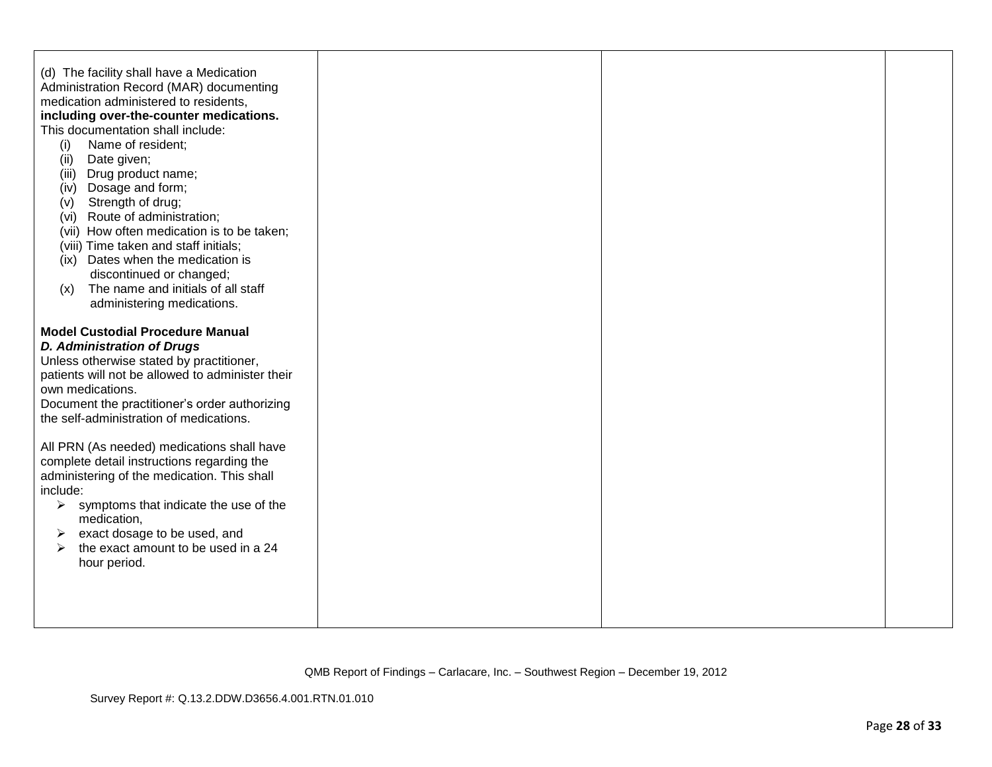| (d) The facility shall have a Medication<br>Administration Record (MAR) documenting<br>medication administered to residents,<br>including over-the-counter medications.<br>This documentation shall include:<br>Name of resident;<br>(i)<br>(ii)<br>Date given;<br>Drug product name;<br>(iii)<br>Dosage and form;<br>(iv)<br>Strength of drug;<br>(v)<br>(vi) Route of administration;<br>(vii) How often medication is to be taken;<br>(viii) Time taken and staff initials;<br>(ix) Dates when the medication is<br>discontinued or changed;<br>The name and initials of all staff<br>(x)<br>administering medications. |  |  |
|----------------------------------------------------------------------------------------------------------------------------------------------------------------------------------------------------------------------------------------------------------------------------------------------------------------------------------------------------------------------------------------------------------------------------------------------------------------------------------------------------------------------------------------------------------------------------------------------------------------------------|--|--|
| <b>Model Custodial Procedure Manual</b><br><b>D. Administration of Drugs</b><br>Unless otherwise stated by practitioner,<br>patients will not be allowed to administer their<br>own medications.<br>Document the practitioner's order authorizing<br>the self-administration of medications.                                                                                                                                                                                                                                                                                                                               |  |  |
| All PRN (As needed) medications shall have<br>complete detail instructions regarding the<br>administering of the medication. This shall<br>include:<br>$\triangleright$ symptoms that indicate the use of the<br>medication,<br>exact dosage to be used, and<br>➤<br>the exact amount to be used in a 24<br>$\blacktriangleright$<br>hour period.                                                                                                                                                                                                                                                                          |  |  |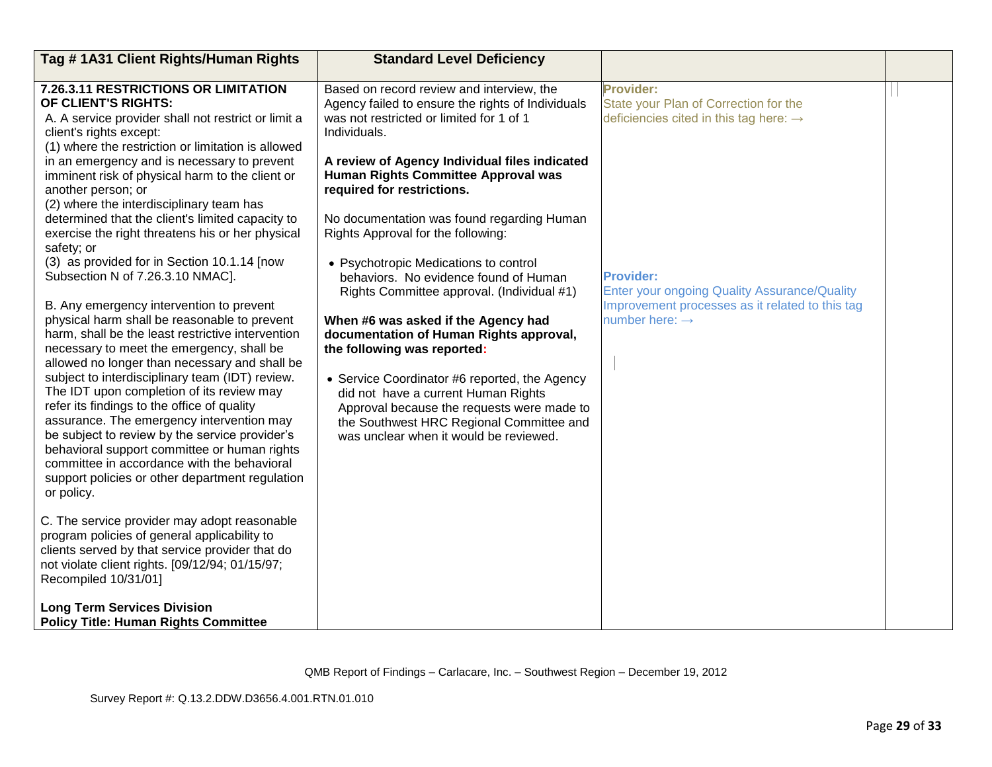| Tag #1A31 Client Rights/Human Rights                                                                                                                                                                                                                                                                                                                                                                                                                                                                                                                                                                                                                                                                                                                                                                                                                                                                                                                                                                                                                                                                                                                                                                                                                                                                                                                                                                                                                                                                                                                             | <b>Standard Level Deficiency</b>                                                                                                                                                                                                                                                                                                                                                                                                                                                                                                                                                                                                                                                                                                                                                                                                                         |                                                                                                                                                                                                                                                                      |  |
|------------------------------------------------------------------------------------------------------------------------------------------------------------------------------------------------------------------------------------------------------------------------------------------------------------------------------------------------------------------------------------------------------------------------------------------------------------------------------------------------------------------------------------------------------------------------------------------------------------------------------------------------------------------------------------------------------------------------------------------------------------------------------------------------------------------------------------------------------------------------------------------------------------------------------------------------------------------------------------------------------------------------------------------------------------------------------------------------------------------------------------------------------------------------------------------------------------------------------------------------------------------------------------------------------------------------------------------------------------------------------------------------------------------------------------------------------------------------------------------------------------------------------------------------------------------|----------------------------------------------------------------------------------------------------------------------------------------------------------------------------------------------------------------------------------------------------------------------------------------------------------------------------------------------------------------------------------------------------------------------------------------------------------------------------------------------------------------------------------------------------------------------------------------------------------------------------------------------------------------------------------------------------------------------------------------------------------------------------------------------------------------------------------------------------------|----------------------------------------------------------------------------------------------------------------------------------------------------------------------------------------------------------------------------------------------------------------------|--|
| 7.26.3.11 RESTRICTIONS OR LIMITATION<br>OF CLIENT'S RIGHTS:<br>A. A service provider shall not restrict or limit a<br>client's rights except:<br>(1) where the restriction or limitation is allowed<br>in an emergency and is necessary to prevent<br>imminent risk of physical harm to the client or<br>another person; or<br>(2) where the interdisciplinary team has<br>determined that the client's limited capacity to<br>exercise the right threatens his or her physical<br>safety; or<br>(3) as provided for in Section 10.1.14 [now<br>Subsection N of 7.26.3.10 NMAC].<br>B. Any emergency intervention to prevent<br>physical harm shall be reasonable to prevent<br>harm, shall be the least restrictive intervention<br>necessary to meet the emergency, shall be<br>allowed no longer than necessary and shall be<br>subject to interdisciplinary team (IDT) review.<br>The IDT upon completion of its review may<br>refer its findings to the office of quality<br>assurance. The emergency intervention may<br>be subject to review by the service provider's<br>behavioral support committee or human rights<br>committee in accordance with the behavioral<br>support policies or other department regulation<br>or policy.<br>C. The service provider may adopt reasonable<br>program policies of general applicability to<br>clients served by that service provider that do<br>not violate client rights. [09/12/94; 01/15/97;<br>Recompiled 10/31/01]<br><b>Long Term Services Division</b><br><b>Policy Title: Human Rights Committee</b> | Based on record review and interview, the<br>Agency failed to ensure the rights of Individuals<br>was not restricted or limited for 1 of 1<br>Individuals.<br>A review of Agency Individual files indicated<br><b>Human Rights Committee Approval was</b><br>required for restrictions.<br>No documentation was found regarding Human<br>Rights Approval for the following:<br>• Psychotropic Medications to control<br>behaviors. No evidence found of Human<br>Rights Committee approval. (Individual #1)<br>When #6 was asked if the Agency had<br>documentation of Human Rights approval,<br>the following was reported:<br>• Service Coordinator #6 reported, the Agency<br>did not have a current Human Rights<br>Approval because the requests were made to<br>the Southwest HRC Regional Committee and<br>was unclear when it would be reviewed. | Provider:<br>State your Plan of Correction for the<br>deficiencies cited in this tag here: $\rightarrow$<br><b>Provider:</b><br><b>Enter your ongoing Quality Assurance/Quality</b><br>Improvement processes as it related to this tag<br>number here: $\rightarrow$ |  |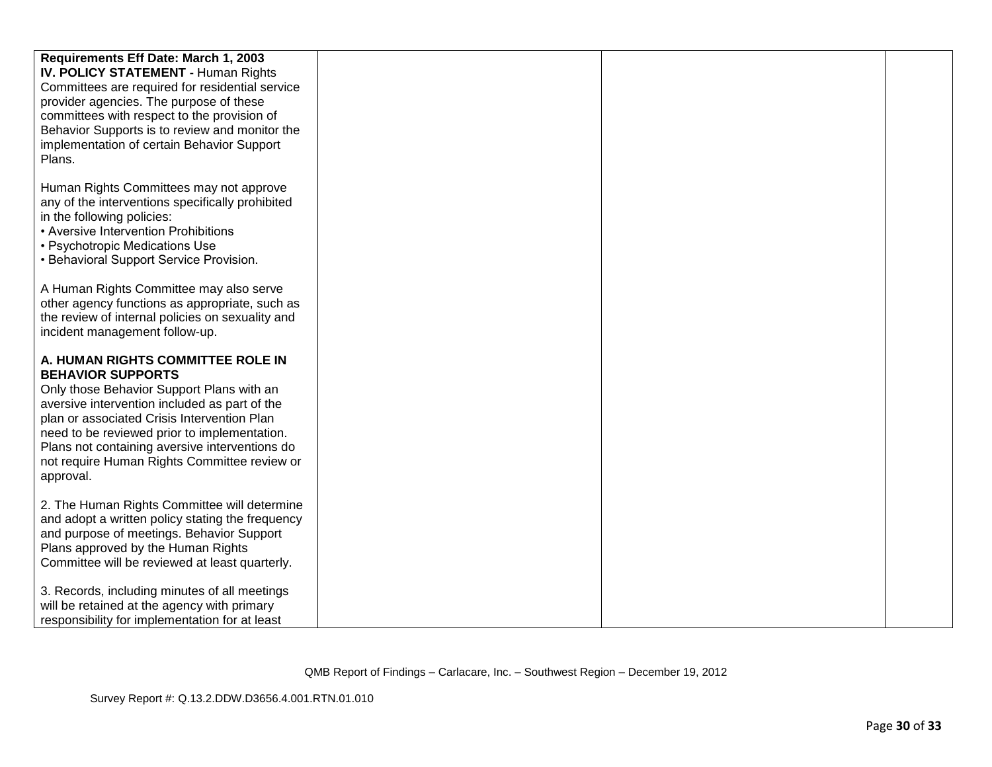| Requirements Eff Date: March 1, 2003<br><b>IV. POLICY STATEMENT - Human Rights</b><br>Committees are required for residential service<br>provider agencies. The purpose of these<br>committees with respect to the provision of<br>Behavior Supports is to review and monitor the<br>implementation of certain Behavior Support<br>Plans.                                 |  |  |
|---------------------------------------------------------------------------------------------------------------------------------------------------------------------------------------------------------------------------------------------------------------------------------------------------------------------------------------------------------------------------|--|--|
| Human Rights Committees may not approve<br>any of the interventions specifically prohibited<br>in the following policies:<br>• Aversive Intervention Prohibitions<br>• Psychotropic Medications Use<br>• Behavioral Support Service Provision.                                                                                                                            |  |  |
| A Human Rights Committee may also serve<br>other agency functions as appropriate, such as<br>the review of internal policies on sexuality and<br>incident management follow-up.                                                                                                                                                                                           |  |  |
| A. HUMAN RIGHTS COMMITTEE ROLE IN<br><b>BEHAVIOR SUPPORTS</b><br>Only those Behavior Support Plans with an<br>aversive intervention included as part of the<br>plan or associated Crisis Intervention Plan<br>need to be reviewed prior to implementation.<br>Plans not containing aversive interventions do<br>not require Human Rights Committee review or<br>approval. |  |  |
| 2. The Human Rights Committee will determine<br>and adopt a written policy stating the frequency<br>and purpose of meetings. Behavior Support<br>Plans approved by the Human Rights<br>Committee will be reviewed at least quarterly.                                                                                                                                     |  |  |
| 3. Records, including minutes of all meetings<br>will be retained at the agency with primary<br>responsibility for implementation for at least                                                                                                                                                                                                                            |  |  |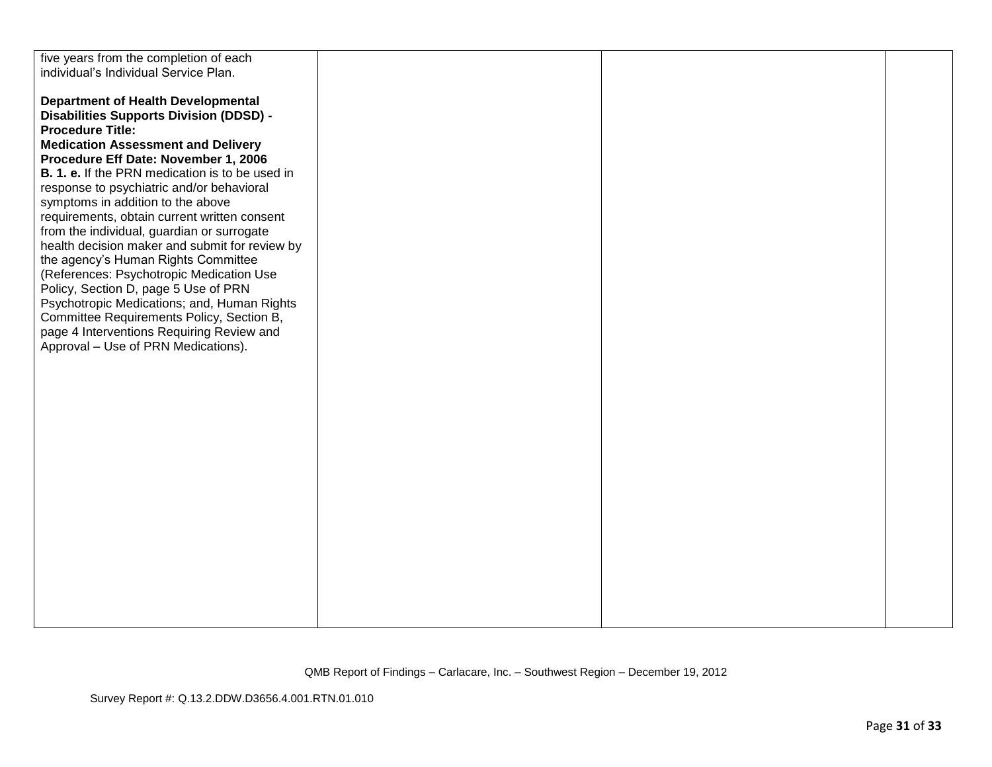| five years from the completion of each                 |  |  |
|--------------------------------------------------------|--|--|
| individual's Individual Service Plan.                  |  |  |
|                                                        |  |  |
| <b>Department of Health Developmental</b>              |  |  |
| <b>Disabilities Supports Division (DDSD) -</b>         |  |  |
| <b>Procedure Title:</b>                                |  |  |
|                                                        |  |  |
| <b>Medication Assessment and Delivery</b>              |  |  |
| Procedure Eff Date: November 1, 2006                   |  |  |
| <b>B. 1. e.</b> If the PRN medication is to be used in |  |  |
| response to psychiatric and/or behavioral              |  |  |
| symptoms in addition to the above                      |  |  |
| requirements, obtain current written consent           |  |  |
| from the individual, guardian or surrogate             |  |  |
| health decision maker and submit for review by         |  |  |
| the agency's Human Rights Committee                    |  |  |
| (References: Psychotropic Medication Use               |  |  |
| Policy, Section D, page 5 Use of PRN                   |  |  |
| Psychotropic Medications; and, Human Rights            |  |  |
| Committee Requirements Policy, Section B,              |  |  |
| page 4 Interventions Requiring Review and              |  |  |
| Approval - Use of PRN Medications).                    |  |  |
|                                                        |  |  |
|                                                        |  |  |
|                                                        |  |  |
|                                                        |  |  |
|                                                        |  |  |
|                                                        |  |  |
|                                                        |  |  |
|                                                        |  |  |
|                                                        |  |  |
|                                                        |  |  |
|                                                        |  |  |
|                                                        |  |  |
|                                                        |  |  |
|                                                        |  |  |
|                                                        |  |  |
|                                                        |  |  |
|                                                        |  |  |
|                                                        |  |  |
|                                                        |  |  |
|                                                        |  |  |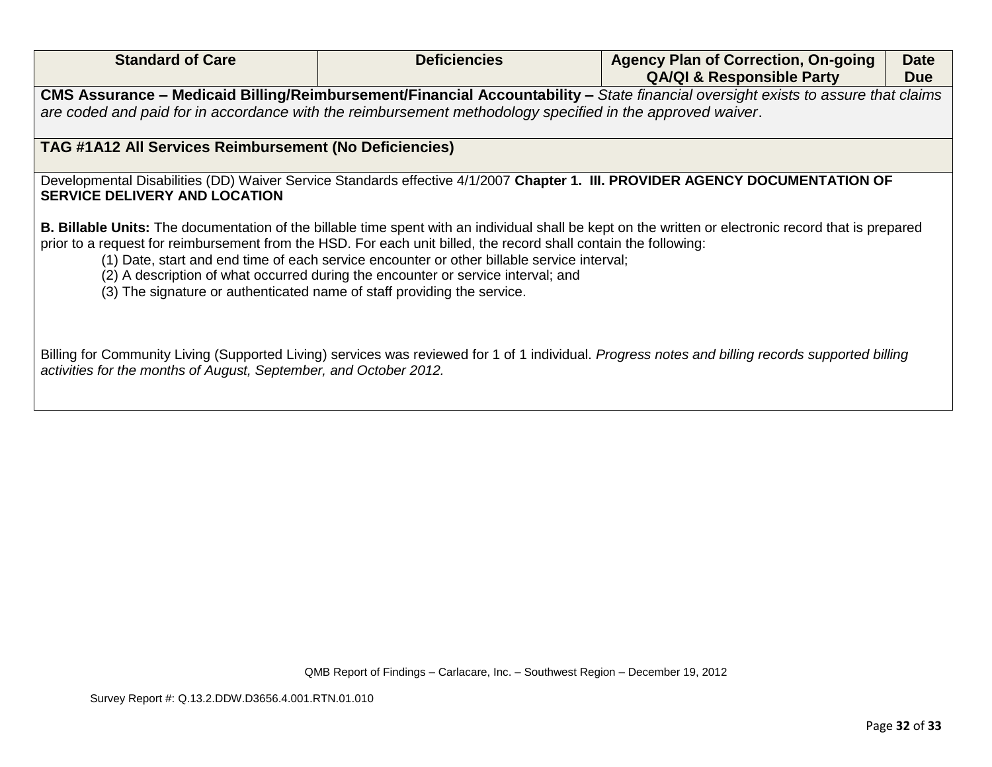| <b>Standard of Care</b>                                                                                                                                                                                                                       | <b>Deficiencies</b>                                                                                                                                                            | <b>Agency Plan of Correction, On-going</b><br><b>QA/QI &amp; Responsible Party</b>                                                                           | <b>Date</b><br><b>Due</b> |  |
|-----------------------------------------------------------------------------------------------------------------------------------------------------------------------------------------------------------------------------------------------|--------------------------------------------------------------------------------------------------------------------------------------------------------------------------------|--------------------------------------------------------------------------------------------------------------------------------------------------------------|---------------------------|--|
| CMS Assurance – Medicaid Billing/Reimbursement/Financial Accountability – State financial oversight exists to assure that claims<br>are coded and paid for in accordance with the reimbursement methodology specified in the approved waiver. |                                                                                                                                                                                |                                                                                                                                                              |                           |  |
| <b>TAG #1A12 All Services Reimbursement (No Deficiencies)</b>                                                                                                                                                                                 |                                                                                                                                                                                |                                                                                                                                                              |                           |  |
| Developmental Disabilities (DD) Waiver Service Standards effective 4/1/2007 Chapter 1. III. PROVIDER AGENCY DOCUMENTATION OF<br><b>SERVICE DELIVERY AND LOCATION</b>                                                                          |                                                                                                                                                                                |                                                                                                                                                              |                           |  |
| prior to a request for reimbursement from the HSD. For each unit billed, the record shall contain the following:<br>(3) The signature or authenticated name of staff providing the service.                                                   | (1) Date, start and end time of each service encounter or other billable service interval;<br>(2) A description of what occurred during the encounter or service interval; and | <b>B. Billable Units:</b> The documentation of the billable time spent with an individual shall be kept on the written or electronic record that is prepared |                           |  |
| activities for the months of August, September, and October 2012.                                                                                                                                                                             |                                                                                                                                                                                | Billing for Community Living (Supported Living) services was reviewed for 1 of 1 individual. Progress notes and billing records supported billing            |                           |  |